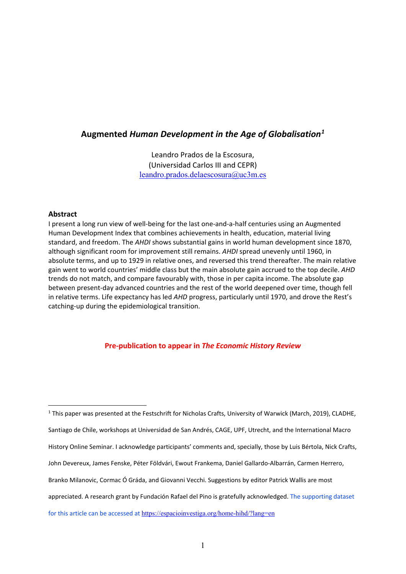# **Augmented** *Human Development in the Age of Globalisation[1](#page-0-0)*

Leandro Prados de la Escosura, (Universidad Carlos III and CEPR) [leandro.prados.delaescosura@uc3m.es](mailto:Leandro.prados.delaescosura@uc3m.es)

## **Abstract**

I present a long run view of well-being for the last one-and-a-half centuries using an Augmented Human Development Index that combines achievements in health, education, material living standard, and freedom. The *AHDI* shows substantial gains in world human development since 1870, although significant room for improvement still remains. *AHDI* spread unevenly until 1960, in absolute terms, and up to 1929 in relative ones, and reversed this trend thereafter. The main relative gain went to world countries' middle class but the main absolute gain accrued to the top decile. *AHD*  trends do not match, and compare favourably with, those in per capita income. The absolute gap between present-day advanced countries and the rest of the world deepened over time, though fell in relative terms. Life expectancy has led *AHD* progress, particularly until 1970, and drove the Rest's catching-up during the epidemiological transition.

## **Pre-publication to appear in** *The Economic History Review*

<span id="page-0-0"></span><sup>&</sup>lt;sup>1</sup> This paper was presented at the Festschrift for Nicholas Crafts, University of Warwick (March, 2019), CLADHE, Santiago de Chile, workshops at Universidad de San Andrés, CAGE, UPF, Utrecht, and the International Macro History Online Seminar. I acknowledge participants' comments and, specially, those by Luis Bértola, Nick Crafts, John Devereux, James Fenske, Péter Földvári, Ewout Frankema, Daniel Gallardo-Albarrán, Carmen Herrero, Branko Milanovic, Cormac Ó Gráda, and Giovanni Vecchi. Suggestions by editor Patrick Wallis are most appreciated. A research grant by Fundación Rafael del Pino is gratefully acknowledged. The supporting dataset for this article can be accessed at <https://espacioinvestiga.org/home-hihd/?lang=en>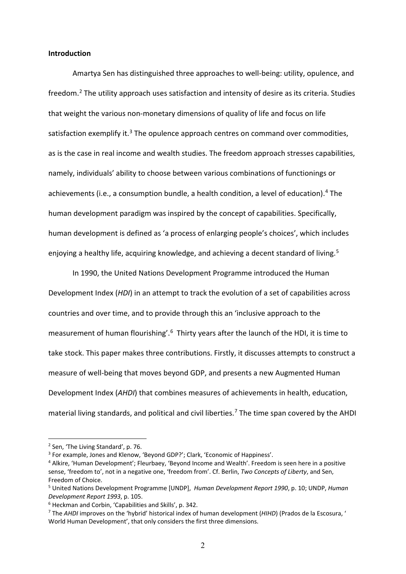#### **Introduction**

Amartya Sen has distinguished three approaches to well-being: utility, opulence, and freedom[.2](#page-1-0) The utility approach uses satisfaction and intensity of desire as its criteria. Studies that weight the various non-monetary dimensions of quality of life and focus on life satisfaction exemplify it.<sup>[3](#page-1-1)</sup> The opulence approach centres on command over commodities, as is the case in real income and wealth studies. The freedom approach stresses capabilities, namely, individuals' ability to choose between various combinations of functionings or achievements (i.e., a consumption bundle, a health condition, a level of education). [4](#page-1-2) The human development paradigm was inspired by the concept of capabilities. Specifically, human development is defined as 'a process of enlarging people's choices', which includes enjoying a healthy life, acquiring knowledge, and achieving a decent standard of living.<sup>[5](#page-1-3)</sup>

In 1990, the United Nations Development Programme introduced the Human Development Index (*HDI*) in an attempt to track the evolution of a set of capabilities across countries and over time, and to provide through this an 'inclusive approach to the measurement of human flourishing'.<sup>[6](#page-1-4)</sup> Thirty years after the launch of the HDI, it is time to take stock. This paper makes three contributions. Firstly, it discusses attempts to construct a measure of well-being that moves beyond GDP, and presents a new Augmented Human Development Index (*AHDI*) that combines measures of achievements in health, education, material living standards, and political and civil liberties. [7](#page-1-5) The time span covered by the AHDI

<span id="page-1-0"></span><sup>2</sup> Sen, 'The Living Standard', p. 76.

<span id="page-1-1"></span><sup>3</sup> For example, Jones and Klenow, 'Beyond GDP?'; Clark, 'Economic of Happiness'.

<span id="page-1-2"></span><sup>4</sup> Alkire, 'Human Development'; Fleurbaey, 'Beyond Income and Wealth'. Freedom is seen here in a positive sense, 'freedom to', not in a negative one, 'freedom from'. Cf. Berlin, *Two Concepts of Liberty*, and Sen, Freedom of Choice.

<span id="page-1-3"></span><sup>5</sup> United Nations Development Programme [UNDP], *Human Development Report 1990*, p. 10; UNDP, *Human Development Report 1993*, p. 105.

<span id="page-1-4"></span><sup>6</sup> Heckman and Corbin, 'Capabilities and Skills', p. 342.

<span id="page-1-5"></span><sup>7</sup> The *AHDI* improves on the 'hybrid' historical index of human development (*HIHD*) (Prados de la Escosura, ' World Human Development', that only considers the first three dimensions.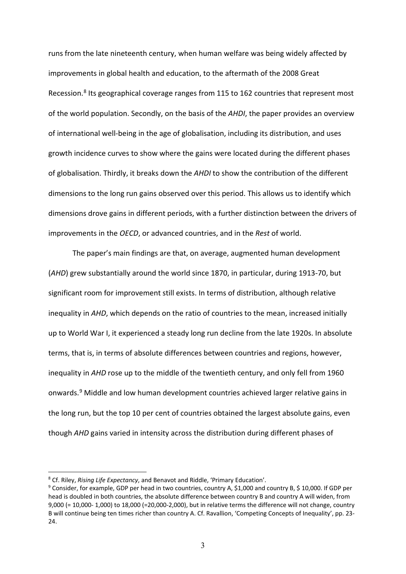runs from the late nineteenth century, when human welfare was being widely affected by improvements in global health and education, to the aftermath of the 2008 Great Recession.<sup>[8](#page-2-0)</sup> Its geographical coverage ranges from 115 to 162 countries that represent most of the world population. Secondly, on the basis of the *AHDI*, the paper provides an overview of international well-being in the age of globalisation, including its distribution, and uses growth incidence curves to show where the gains were located during the different phases of globalisation. Thirdly, it breaks down the *AHDI* to show the contribution of the different dimensions to the long run gains observed over this period. This allows us to identify which dimensions drove gains in different periods, with a further distinction between the drivers of improvements in the *OECD*, or advanced countries, and in the *Rest* of world.

The paper's main findings are that, on average, augmented human development (*AHD*) grew substantially around the world since 1870, in particular, during 1913-70, but significant room for improvement still exists. In terms of distribution, although relative inequality in *AHD*, which depends on the ratio of countries to the mean, increased initially up to World War I, it experienced a steady long run decline from the late 1920s. In absolute terms, that is, in terms of absolute differences between countries and regions, however, inequality in *AHD* rose up to the middle of the twentieth century, and only fell from 1960 onwards. [9](#page-2-1) Middle and low human development countries achieved larger relative gains in the long run, but the top 10 per cent of countries obtained the largest absolute gains, even though *AHD* gains varied in intensity across the distribution during different phases of

<span id="page-2-0"></span><sup>8</sup> Cf. Riley, *Rising Life Expectancy*, and Benavot and Riddle, 'Primary Education'.

<span id="page-2-1"></span><sup>9</sup> Consider, for example, GDP per head in two countries, country A, \$1,000 and country B, \$ 10,000. If GDP per head is doubled in both countries, the absolute difference between country B and country A will widen, from 9,000 (= 10,000- 1,000) to 18,000 (=20,000-2,000), but in relative terms the difference will not change, country B will continue being ten times richer than country A. Cf. Ravallion, 'Competing Concepts of Inequality', pp. 23- 24.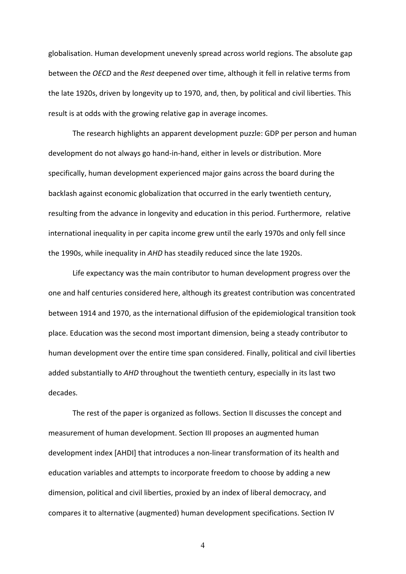globalisation. Human development unevenly spread across world regions. The absolute gap between the *OECD* and the *Rest* deepened over time, although it fell in relative terms from the late 1920s, driven by longevity up to 1970, and, then, by political and civil liberties. This result is at odds with the growing relative gap in average incomes.

The research highlights an apparent development puzzle: GDP per person and human development do not always go hand-in-hand, either in levels or distribution. More specifically, human development experienced major gains across the board during the backlash against economic globalization that occurred in the early twentieth century, resulting from the advance in longevity and education in this period. Furthermore, relative international inequality in per capita income grew until the early 1970s and only fell since the 1990s, while inequality in *AHD* has steadily reduced since the late 1920s.

Life expectancy was the main contributor to human development progress over the one and half centuries considered here, although its greatest contribution was concentrated between 1914 and 1970, as the international diffusion of the epidemiological transition took place. Education was the second most important dimension, being a steady contributor to human development over the entire time span considered. Finally, political and civil liberties added substantially to *AHD* throughout the twentieth century, especially in its last two decades.

The rest of the paper is organized as follows. Section II discusses the concept and measurement of human development. Section III proposes an augmented human development index [AHDI] that introduces a non-linear transformation of its health and education variables and attempts to incorporate freedom to choose by adding a new dimension, political and civil liberties, proxied by an index of liberal democracy, and compares it to alternative (augmented) human development specifications. Section IV

4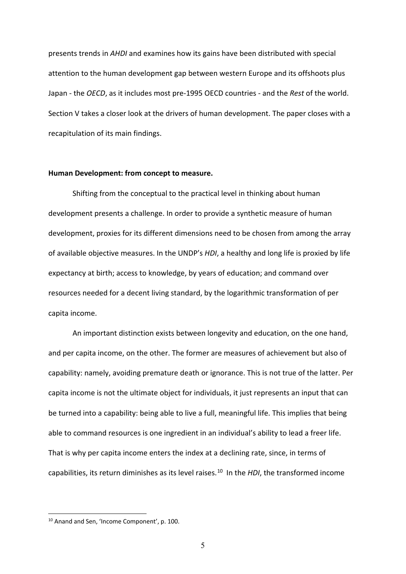presents trends in *AHDI* and examines how its gains have been distributed with special attention to the human development gap between western Europe and its offshoots plus Japan - the *OECD*, as it includes most pre-1995 OECD countries - and the *Rest* of the world. Section V takes a closer look at the drivers of human development. The paper closes with a recapitulation of its main findings.

## **Human Development: from concept to measure.**

Shifting from the conceptual to the practical level in thinking about human development presents a challenge. In order to provide a synthetic measure of human development, proxies for its different dimensions need to be chosen from among the array of available objective measures. In the UNDP's *HDI*, a healthy and long life is proxied by life expectancy at birth; access to knowledge, by years of education; and command over resources needed for a decent living standard, by the logarithmic transformation of per capita income.

An important distinction exists between longevity and education, on the one hand, and per capita income, on the other. The former are measures of achievement but also of capability: namely, avoiding premature death or ignorance. This is not true of the latter. Per capita income is not the ultimate object for individuals, it just represents an input that can be turned into a capability: being able to live a full, meaningful life. This implies that being able to command resources is one ingredient in an individual's ability to lead a freer life. That is why per capita income enters the index at a declining rate, since, in terms of capabilities, its return diminishes as its level raises.[10](#page-4-0) In the *HDI*, the transformed income

<span id="page-4-0"></span><sup>10</sup> Anand and Sen, 'Income Component', p. 100.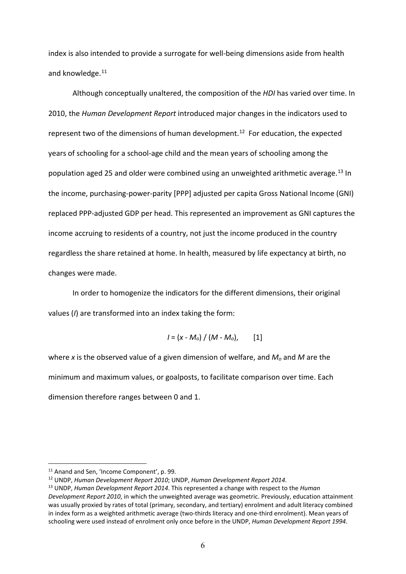index is also intended to provide a surrogate for well-being dimensions aside from health and knowledge.<sup>[11](#page-5-0)</sup>

Although conceptually unaltered, the composition of the *HDI* has varied over time. In 2010, the *Human Development Report* introduced major changes in the indicators used to represent two of the dimensions of human development.<sup>[12](#page-5-1)</sup> For education, the expected years of schooling for a school-age child and the mean years of schooling among the population aged 25 and older were combined using an unweighted arithmetic average.<sup>[13](#page-5-2)</sup> In the income, purchasing-power-parity [PPP] adjusted per capita Gross National Income (GNI) replaced PPP-adjusted GDP per head. This represented an improvement as GNI captures the income accruing to residents of a country, not just the income produced in the country regardless the share retained at home. In health, measured by life expectancy at birth, no changes were made.

In order to homogenize the indicators for the different dimensions, their original values (*I*) are transformed into an index taking the form:

$$
I = (x - M_o) / (M - M_o), [1]
$$

where *x* is the observed value of a given dimension of welfare, and *Mo* and *M* are the minimum and maximum values, or goalposts, to facilitate comparison over time. Each dimension therefore ranges between 0 and 1.

<span id="page-5-0"></span><sup>&</sup>lt;sup>11</sup> Anand and Sen, 'Income Component', p. 99.

<span id="page-5-1"></span><sup>12</sup> UNDP, *Human Development Report 2010*; UNDP, *Human Development Report 2014*.

<span id="page-5-2"></span><sup>13</sup> UNDP, *Human Development Report 2014*. This represented a change with respect to the *Human Development Report 2010*, in which the unweighted average was geometric. Previously, education attainment was usually proxied by rates of total (primary, secondary, and tertiary) enrolment and adult literacy combined in index form as a weighted arithmetic average (two-thirds literacy and one-third enrolment). Mean years of schooling were used instead of enrolment only once before in the UNDP, *Human Development Report 1994*.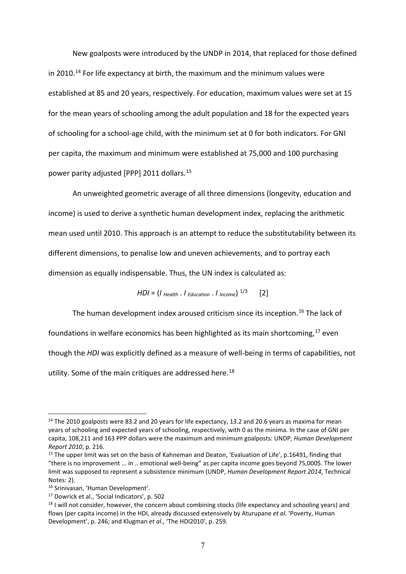New goalposts were introduced by the UNDP in 2014, that replaced for those defined in 2010.<sup>[14](#page-6-0)</sup> For life expectancy at birth, the maximum and the minimum values were established at 85 and 20 years, respectively. For education, maximum values were set at 15 for the mean years of schooling among the adult population and 18 for the expected years of schooling for a school-age child, with the minimum set at 0 for both indicators. For GNI per capita, the maximum and minimum were established at 75,000 and 100 purchasing power parity adjusted [PPP] 2011 dollars.[15](#page-6-1)

An unweighted geometric average of all three dimensions (longevity, education and income) is used to derive a synthetic human development index, replacing the arithmetic mean used until 2010. This approach is an attempt to reduce the substitutability between its different dimensions, to penalise low and uneven achievements, and to portray each dimension as equally indispensable. Thus, the UN index is calculated as:

 $HDI = (I_{Health} \cdot I_{Education} \cdot I_{Income})^{1/3}$  [2]

The human development index aroused criticism since its inception. [16](#page-6-2) The lack of

foundations in welfare economics has been highlighted as its main shortcoming,<sup>[17](#page-6-3)</sup> even

though the *HDI* was explicitly defined as a measure of well-being in terms of capabilities, not

utility. Some of the main critiques are addressed here.<sup>[18](#page-6-4)</sup>

<span id="page-6-0"></span><sup>&</sup>lt;sup>14</sup> The 2010 goalposts were 83.2 and 20 years for life expectancy, 13.2 and 20.6 years as maxima for mean years of schooling and expected years of schooling, respectively, with 0 as the minima. In the case of GNI per capita, 108,211 and 163 PPP dollars were the maximum and minimum goalposts: UNDP, *Human Development Report 2010*, p. 216.

<span id="page-6-1"></span><sup>&</sup>lt;sup>15</sup> The upper limit was set on the basis of Kahneman and Deaton, 'Evaluation of Life', p.16491, finding that "there is no improvement ... in .. emotional well-being" as per capita income goes beyond 75,000\$. The lower limit was supposed to represent a subsistence minimum (UNDP, *Human Development Report 2014*, Technical Notes: 2).

<span id="page-6-2"></span><sup>16</sup> Srinivasan, 'Human Development'.

<span id="page-6-4"></span><span id="page-6-3"></span><sup>&</sup>lt;sup>17</sup> Dowrick et al., 'Social Indicators', p. 502<br><sup>18</sup> I will not consider, however, the concern about combining stocks (life expectancy and schooling years) and flows (per capita income) in the HDI, already discussed extensively by Aturupane *et al*. 'Poverty, Human Development', p. 246; and Klugman *et al*., 'The HDI2010', p. 259.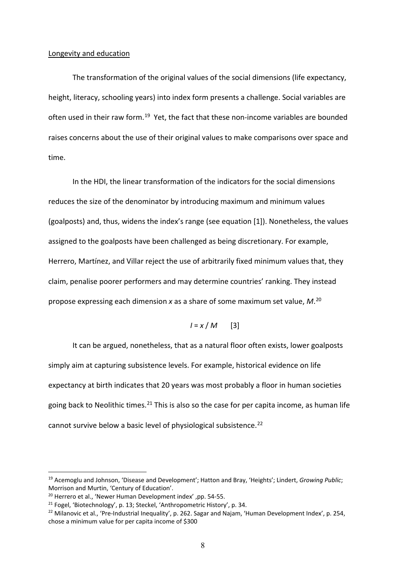#### Longevity and education

The transformation of the original values of the social dimensions (life expectancy, height, literacy, schooling years) into index form presents a challenge. Social variables are often used in their raw form.<sup>[19](#page-7-0)</sup> Yet, the fact that these non-income variables are bounded raises concerns about the use of their original values to make comparisons over space and time.

In the HDI, the linear transformation of the indicators for the social dimensions reduces the size of the denominator by introducing maximum and minimum values (goalposts) and, thus, widens the index's range (see equation [1]). Nonetheless, the values assigned to the goalposts have been challenged as being discretionary. For example, Herrero, Martínez, and Villar reject the use of arbitrarily fixed minimum values that, they claim, penalise poorer performers and may determine countries' ranking. They instead propose expressing each dimension *x* as a share of some maximum set value, *M*. [20](#page-7-1)

$$
I = x / M \qquad [3]
$$

It can be argued, nonetheless, that as a natural floor often exists, lower goalposts simply aim at capturing subsistence levels. For example, historical evidence on life expectancy at birth indicates that 20 years was most probably a floor in human societies going back to Neolithic times.<sup>[21](#page-7-2)</sup> This is also so the case for per capita income, as human life cannot survive below a basic level of physiological subsistence.<sup>[22](#page-7-3)</sup>

<span id="page-7-0"></span><sup>19</sup> Acemoglu and Johnson, 'Disease and Development'; Hatton and Bray, 'Heights'; Lindert, *Growing Public*; Morrison and Murtin, 'Century of Education'.

<span id="page-7-1"></span><sup>20</sup> Herrero et al., 'Newer Human Development index' ,pp. 54-55.

<span id="page-7-2"></span><sup>&</sup>lt;sup>21</sup> Fogel, 'Biotechnology', p. 13; Steckel, 'Anthropometric History', p. 34.

<span id="page-7-3"></span><sup>&</sup>lt;sup>22</sup> Milanovic et al., 'Pre-Industrial Inequality', p. 262. Sagar and Najam, 'Human Development Index', p. 254, chose a minimum value for per capita income of \$300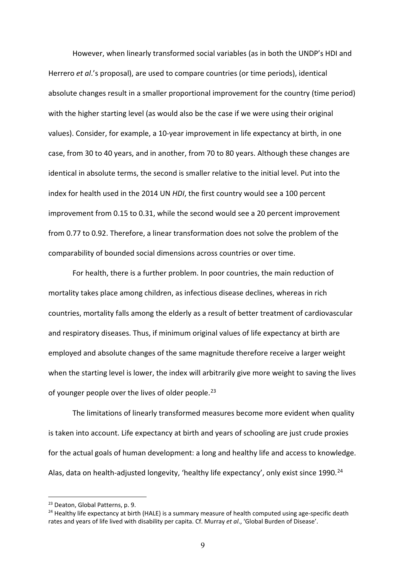However, when linearly transformed social variables (as in both the UNDP's HDI and Herrero *et al*.'s proposal), are used to compare countries (or time periods), identical absolute changes result in a smaller proportional improvement for the country (time period) with the higher starting level (as would also be the case if we were using their original values). Consider, for example, a 10-year improvement in life expectancy at birth, in one case, from 30 to 40 years, and in another, from 70 to 80 years. Although these changes are identical in absolute terms, the second is smaller relative to the initial level. Put into the index for health used in the 2014 UN *HDI*, the first country would see a 100 percent improvement from 0.15 to 0.31, while the second would see a 20 percent improvement from 0.77 to 0.92. Therefore, a linear transformation does not solve the problem of the comparability of bounded social dimensions across countries or over time.

For health, there is a further problem. In poor countries, the main reduction of mortality takes place among children, as infectious disease declines, whereas in rich countries, mortality falls among the elderly as a result of better treatment of cardiovascular and respiratory diseases. Thus, if minimum original values of life expectancy at birth are employed and absolute changes of the same magnitude therefore receive a larger weight when the starting level is lower, the index will arbitrarily give more weight to saving the lives of younger people over the lives of older people.<sup>[23](#page-8-0)</sup>

The limitations of linearly transformed measures become more evident when quality is taken into account. Life expectancy at birth and years of schooling are just crude proxies for the actual goals of human development: a long and healthy life and access to knowledge. Alas, data on health-adjusted longevity, 'healthy life expectancy', only exist since 1990.<sup>[24](#page-8-1)</sup>

<span id="page-8-0"></span><sup>23</sup> Deaton, Global Patterns, p. 9.

<span id="page-8-1"></span><sup>&</sup>lt;sup>24</sup> Healthy life expectancy at birth (HALE) is a summary measure of health computed using age-specific death rates and years of life lived with disability per capita. Cf. Murray *et al*., 'Global Burden of Disease'.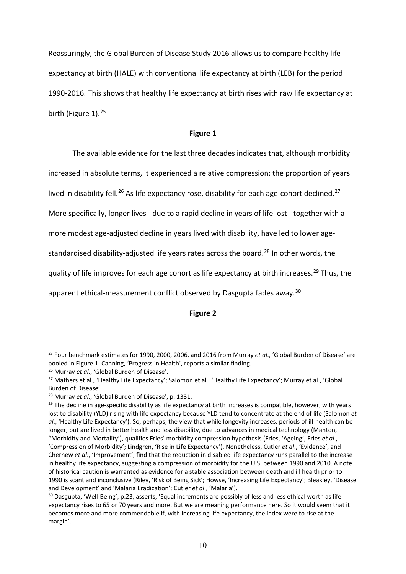Reassuringly, the Global Burden of Disease Study 2016 allows us to compare healthy life expectancy at birth (HALE) with conventional life expectancy at birth (LEB) for the period 1990-2016. This shows that healthy life expectancy at birth rises with raw life expectancy at birth (Figure 1).<sup>[25](#page-9-0)</sup>

## **Figure 1**

The available evidence for the last three decades indicates that, although morbidity

increased in absolute terms, it experienced a relative compression: the proportion of years

lived in disability fell.<sup>[26](#page-9-1)</sup> As life expectancy rose, disability for each age-cohort declined.<sup>[27](#page-9-2)</sup>

More specifically, longer lives - due to a rapid decline in years of life lost - together with a

more modest age-adjusted decline in years lived with disability, have led to lower age-

standardised disability-adjusted life years rates across the board.<sup>[28](#page-9-3)</sup> In other words, the

quality of life improves for each age cohort as life expectancy at birth increases.<sup>[29](#page-9-4)</sup> Thus, the

apparent ethical-measurement conflict observed by Dasgupta fades away.<sup>[30](#page-9-5)</sup>

## **Figure 2**

<span id="page-9-0"></span><sup>25</sup> Four benchmark estimates for 1990, 2000, 2006, and 2016 from Murray *et al*., 'Global Burden of Disease' are pooled in Figure 1. Canning, 'Progress in Health', reports a similar finding.

<span id="page-9-1"></span><sup>26</sup> Murray *et al*., 'Global Burden of Disease'.

<span id="page-9-2"></span><sup>&</sup>lt;sup>27</sup> Mathers et al., 'Healthy Life Expectancy'; Salomon et al., 'Healthy Life Expectancy'; Murray et al., 'Global Burden of Disease'

<span id="page-9-3"></span><sup>28</sup> Murray *et al*., 'Global Burden of Disease', p. 1331.

<span id="page-9-4"></span> $29$  The decline in age-specific disability as life expectancy at birth increases is compatible, however, with years lost to disability (YLD) rising with life expectancy because YLD tend to concentrate at the end of life (Salomon *et al*., 'Healthy Life Expectancy'). So, perhaps, the view that while longevity increases, periods of ill-health can be longer, but are lived in better health and less disability, due to advances in medical technology (Manton, "Morbidity and Mortality'), qualifies Fries' morbidity compression hypothesis (Fries, 'Ageing'; Fries *et al*., 'Compression of Morbidity'; Lindgren, 'Rise in Life Expectancy'). Nonetheless, Cutler *et al*., 'Evidence', and Chernew *et al*., 'Improvement', find that the reduction in disabled life expectancy runs parallel to the increase in healthy life expectancy, suggesting a compression of morbidity for the U.S. between 1990 and 2010. A note of historical caution is warranted as evidence for a stable association between death and ill health prior to 1990 is scant and inconclusive (Riley, 'Risk of Being Sick'; Howse, 'Increasing Life Expectancy'; Bleakley, 'Disease and Development' and 'Malaria Eradication'; Cutler *et al*., 'Malaria').

<span id="page-9-5"></span><sup>&</sup>lt;sup>30</sup> Dasgupta, 'Well-Being', p.23, asserts, 'Equal increments are possibly of less and less ethical worth as life expectancy rises to 65 or 70 years and more. But we are meaning performance here. So it would seem that it becomes more and more commendable if, with increasing life expectancy, the index were to rise at the margin'.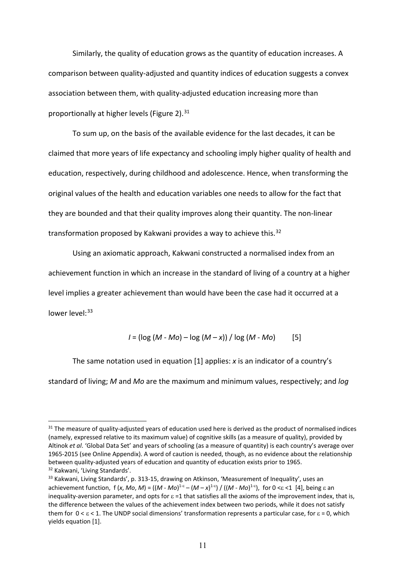Similarly, the quality of education grows as the quantity of education increases. A comparison between quality-adjusted and quantity indices of education suggests a convex association between them, with quality-adjusted education increasing more than proportionally at higher levels (Figure 2). $31$ 

To sum up, on the basis of the available evidence for the last decades, it can be claimed that more years of life expectancy and schooling imply higher quality of health and education, respectively, during childhood and adolescence. Hence, when transforming the original values of the health and education variables one needs to allow for the fact that they are bounded and that their quality improves along their quantity. The non-linear transformation proposed by Kakwani provides a way to achieve this.<sup>[32](#page-10-1)</sup>

Using an axiomatic approach, Kakwani constructed a normalised index from an achievement function in which an increase in the standard of living of a country at a higher level implies a greater achievement than would have been the case had it occurred at a lower level: [33](#page-10-2)

$$
I = (\log (M - Mo) - \log (M - x)) / \log (M - Mo)
$$
 [5]

The same notation used in equation [1] applies: *x* is an indicator of a country's standard of living; *M* and *Mo* are the maximum and minimum values, respectively; and *log*

<span id="page-10-0"></span><sup>&</sup>lt;sup>31</sup> The measure of quality-adjusted years of education used here is derived as the product of normalised indices (namely, expressed relative to its maximum value) of cognitive skills (as a measure of quality), provided by Altinok *et al*. 'Global Data Set' and years of schooling (as a measure of quantity) is each country's average over 1965-2015 (see Online Appendix). A word of caution is needed, though, as no evidence about the relationship between quality-adjusted years of education and quantity of education exists prior to 1965. <sup>32</sup> Kakwani, 'Living Standards'.

<span id="page-10-2"></span><span id="page-10-1"></span><sup>&</sup>lt;sup>33</sup> Kakwani, Living Standards', p. 313-15, drawing on Atkinson, 'Measurement of Inequality', uses an achievement function,  $f(x, Mo, M) = ((M - Mo)^{1-\epsilon} - (M - x)^{1-\epsilon}) / ((M - Mo)^{1-\epsilon})$ , for  $0 \le \epsilon \le 1$  [4], being  $\epsilon$  an inequality-aversion parameter, and opts for  $\varepsilon$  =1 that satisfies all the axioms of the improvement index, that is, the difference between the values of the achievement index between two periods, while it does not satisfy them for  $0 < \varepsilon < 1$ . The UNDP social dimensions' transformation represents a particular case, for  $\varepsilon = 0$ , which yields equation [1].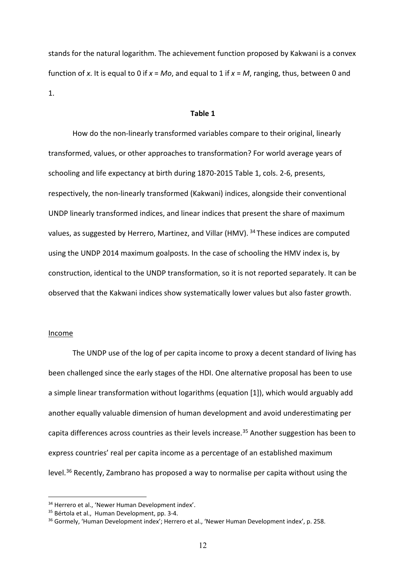stands for the natural logarithm. The achievement function proposed by Kakwani is a convex function of *x*. It is equal to 0 if *x* = *Mo*, and equal to 1 if *x* = *M*, ranging, thus, between 0 and 1.

## **Table 1**

How do the non-linearly transformed variables compare to their original, linearly transformed, values, or other approaches to transformation? For world average years of schooling and life expectancy at birth during 1870-2015 Table 1, cols. 2-6, presents, respectively, the non-linearly transformed (Kakwani) indices, alongside their conventional UNDP linearly transformed indices, and linear indices that present the share of maximum values, as suggested by Herrero, Martinez, and Villar (HMV). <sup>[34](#page-11-0)</sup> These indices are computed using the UNDP 2014 maximum goalposts. In the case of schooling the HMV index is, by construction, identical to the UNDP transformation, so it is not reported separately. It can be observed that the Kakwani indices show systematically lower values but also faster growth.

## Income

The UNDP use of the log of per capita income to proxy a decent standard of living has been challenged since the early stages of the HDI. One alternative proposal has been to use a simple linear transformation without logarithms (equation [1]), which would arguably add another equally valuable dimension of human development and avoid underestimating per capita differences across countries as their levels increase.<sup>[35](#page-11-1)</sup> Another suggestion has been to express countries' real per capita income as a percentage of an established maximum level.<sup>[36](#page-11-2)</sup> Recently, Zambrano has proposed a way to normalise per capita without using the

<span id="page-11-0"></span><sup>&</sup>lt;sup>34</sup> Herrero et al., 'Newer Human Development index'.

<span id="page-11-1"></span><sup>35</sup> Bértola et al., Human Development, pp. 3-4.

<span id="page-11-2"></span><sup>&</sup>lt;sup>36</sup> Gormely, 'Human Development index'; Herrero et al., 'Newer Human Development index', p. 258.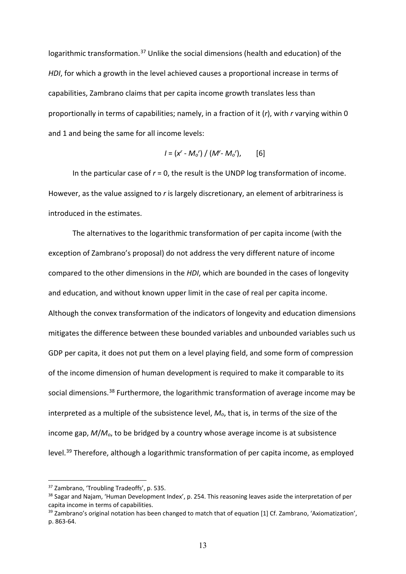logarithmic transformation.<sup>[37](#page-12-0)</sup> Unlike the social dimensions (health and education) of the *HDI*, for which a growth in the level achieved causes a proportional increase in terms of capabilities, Zambrano claims that per capita income growth translates less than proportionally in terms of capabilities; namely, in a fraction of it (*r*), with *r* varying within 0 and 1 and being the same for all income levels:

$$
I = (x^{r} - M_{o})^{r} / (M^{r} - M_{o})^{r},
$$
 [6]

In the particular case of *r* = 0, the result is the UNDP log transformation of income. However, as the value assigned to *r* is largely discretionary, an element of arbitrariness is introduced in the estimates.

The alternatives to the logarithmic transformation of per capita income (with the exception of Zambrano's proposal) do not address the very different nature of income compared to the other dimensions in the *HDI*, which are bounded in the cases of longevity and education, and without known upper limit in the case of real per capita income. Although the convex transformation of the indicators of longevity and education dimensions mitigates the difference between these bounded variables and unbounded variables such us GDP per capita, it does not put them on a level playing field, and some form of compression of the income dimension of human development is required to make it comparable to its social dimensions.<sup>[38](#page-12-1)</sup> Furthermore, the logarithmic transformation of average income may be interpreted as a multiple of the subsistence level, *Mo*, that is, in terms of the size of the income gap, *M*/*Mo*, to be bridged by a country whose average income is at subsistence level.[39](#page-12-2) Therefore, although a logarithmic transformation of per capita income, as employed

<span id="page-12-0"></span><sup>37</sup> Zambrano, 'Troubling Tradeoffs', p. 535.

<span id="page-12-1"></span><sup>&</sup>lt;sup>38</sup> Sagar and Najam, 'Human Development Index', p. 254. This reasoning leaves aside the interpretation of per capita income in terms of capabilities.

<span id="page-12-2"></span><sup>&</sup>lt;sup>39</sup> Zambrano's original notation has been changed to match that of equation [1] Cf. Zambrano, 'Axiomatization', p. 863-64.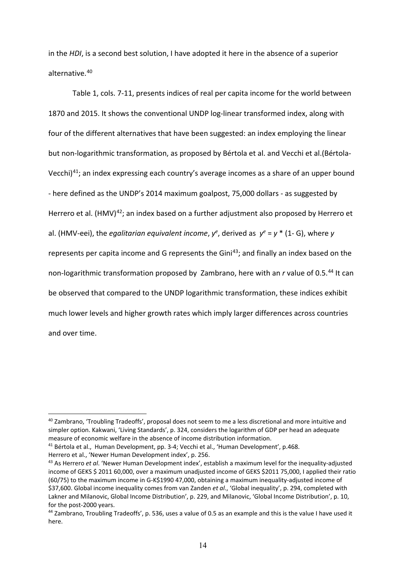in the *HDI*, is a second best solution, I have adopted it here in the absence of a superior alternative. [40](#page-13-0)

Table 1, cols. 7-11, presents indices of real per capita income for the world between 1870 and 2015. It shows the conventional UNDP log-linear transformed index, along with four of the different alternatives that have been suggested: an index employing the linear but non-logarithmic transformation, as proposed by Bértola et al. and Vecchi et al.(Bértola-Vecchi)[41](#page-13-1); an index expressing each country's average incomes as a share of an upper bound - here defined as the UNDP's 2014 maximum goalpost, 75,000 dollars - as suggested by Herrero et al. (HMV)<sup>[42](#page-13-2)</sup>; an index based on a further adjustment also proposed by Herrero et al. (HMV-eei), the *egalitarian equivalent income*,  $y^e$ , derived as  $y^e = y^*$  (1- G), where *y* represents per capita income and G represents the Gini<sup>[43](#page-13-3)</sup>; and finally an index based on the non-logarithmic transformation proposed by Zambrano, here with an *r* value of 0.5.[44](#page-13-4) It can be observed that compared to the UNDP logarithmic transformation, these indices exhibit much lower levels and higher growth rates which imply larger differences across countries and over time.

<span id="page-13-0"></span><sup>40</sup> Zambrano, 'Troubling Tradeoffs', proposal does not seem to me a less discretional and more intuitive and simpler option. Kakwani, 'Living Standards', p. 324, considers the logarithm of GDP per head an adequate measure of economic welfare in the absence of income distribution information.

<span id="page-13-1"></span><sup>41</sup> Bértola et al., Human Development, pp. 3-4; Vecchi et al., 'Human Development', p.468.

<span id="page-13-2"></span>Herrero et al., 'Newer Human Development index', p. 256.

<span id="page-13-3"></span><sup>43</sup> As Herrero *et al*. 'Newer Human Development index', establish a maximum level for the inequality-adjusted income of GEKS \$ 2011 60,000, over a maximum unadjusted income of GEKS \$2011 75,000, I applied their ratio (60/75) to the maximum income in G-K\$1990 47,000, obtaining a maximum inequality-adjusted income of \$37,600. Global income inequality comes from van Zanden *et al*., 'Global inequality', p. 294, completed with Lakner and Milanovic, Global Income Distribution', p. 229, and Milanovic, 'Global Income Distribution', p. 10, for the post-2000 years.

<span id="page-13-4"></span><sup>44</sup> Zambrano, Troubling Tradeoffs', p. 536, uses a value of 0.5 as an example and this is the value I have used it here.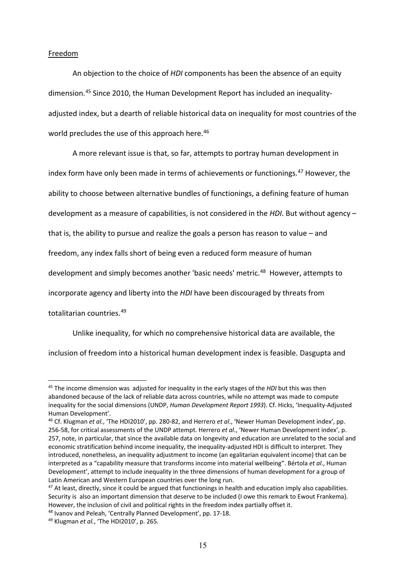#### Freedom

An objection to the choice of *HDI* components has been the absence of an equity dimension. [45](#page-14-0) Since 2010, the Human Development Report has included an inequalityadjusted index, but a dearth of reliable historical data on inequality for most countries of the world precludes the use of this approach here.<sup>[46](#page-14-1)</sup>

A more relevant issue is that, so far, attempts to portray human development in index form have only been made in terms of achievements or functionings.<sup>[47](#page-14-2)</sup> However, the ability to choose between alternative bundles of functionings, a defining feature of human development as a measure of capabilities, is not considered in the *HDI*. But without agency – that is, the ability to pursue and realize the goals a person has reason to value – and freedom, any index falls short of being even a reduced form measure of human development and simply becomes another 'basic needs' metric.<sup>[48](#page-14-3)</sup> However, attempts to incorporate agency and liberty into the *HDI* have been discouraged by threats from totalitarian countries.[49](#page-14-4)

Unlike inequality, for which no comprehensive historical data are available, the

inclusion of freedom into a historical human development index is feasible. Dasgupta and

<span id="page-14-0"></span><sup>45</sup> The income dimension was adjusted for inequality in the early stages of the *HDI* but this was then abandoned because of the lack of reliable data across countries, while no attempt was made to compute inequality for the social dimensions (UNDP, *Human Development Report 1993*). Cf. Hicks, 'Inequality-Adjusted Human Development'.

<span id="page-14-1"></span><sup>46</sup> Cf. Klugman *et al.*, 'The HDI2010', pp. 280-82, and Herrero *et al*., 'Newer Human Development index', pp. 256-58, for critical assessments of the UNDP attempt. Herrero *et al*., 'Newer Human Development index', p. 257, note, in particular, that since the available data on longevity and education are unrelated to the social and economic stratification behind income inequality, the inequality-adjusted HDI is difficult to interpret. They introduced, nonetheless, an inequality adjustment to income (an egalitarian equivalent income) that can be interpreted as a "capability measure that transforms income into material wellbeing". Bértola *et al*., Human Development', attempt to include inequality in the three dimensions of human development for a group of Latin American and Western European countries over the long run.

<span id="page-14-2"></span> $47$  At least, directly, since it could be argued that functionings in health and education imply also capabilities. Security is also an important dimension that deserve to be included (I owe this remark to Ewout Frankema). However, the inclusion of civil and political rights in the freedom index partially offset it.

<span id="page-14-3"></span><sup>48</sup> Ivanov and Peleah, 'Centrally Planned Development', pp. 17-18.

<span id="page-14-4"></span><sup>49</sup> Klugman *et al.*, 'The HDI2010', p. 265.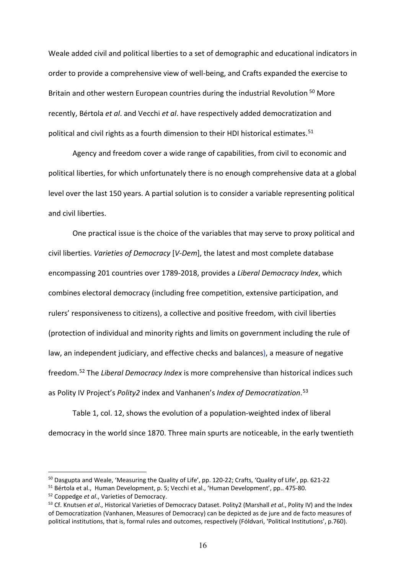Weale added civil and political liberties to a set of demographic and educational indicators in order to provide a comprehensive view of well-being, and Crafts expanded the exercise to Britain and other western European countries during the industrial Revolution <sup>[50](#page-15-0)</sup> More recently, Bértola *et al*. and Vecchi *et al*. have respectively added democratization and political and civil rights as a fourth dimension to their HDI historical estimates.<sup>[51](#page-15-1)</sup>

Agency and freedom cover a wide range of capabilities, from civil to economic and political liberties, for which unfortunately there is no enough comprehensive data at a global level over the last 150 years. A partial solution is to consider a variable representing political and civil liberties.

One practical issue is the choice of the variables that may serve to proxy political and civil liberties. *Varieties of Democracy* [*V-Dem*], the latest and most complete database encompassing 201 countries over 1789-2018, provides a *Liberal Democracy Index*, which combines electoral democracy (including free competition, extensive participation, and rulers' responsiveness to citizens), a collective and positive freedom, with civil liberties (protection of individual and minority rights and limits on government including the rule of law, an independent judiciary, and effective checks and balances), a measure of negative freedom. [52](#page-15-2) The *Liberal Democracy Index* is more comprehensive than historical indices such as Polity IV Project's *Polity2* index and Vanhanen's *Index of Democratization*. [53](#page-15-3)

Table 1, col. 12, shows the evolution of a population-weighted index of liberal democracy in the world since 1870. Three main spurts are noticeable, in the early twentieth

<span id="page-15-0"></span><sup>50</sup> Dasgupta and Weale, 'Measuring the Quality of Life', pp. 120-22; Crafts, 'Quality of Life', pp. 621-22

<span id="page-15-1"></span><sup>51</sup> Bértola et al., Human Development, p. 5; Vecchi et al., 'Human Development', pp.. 475-80.

<span id="page-15-2"></span><sup>52</sup> Coppedge *et al*., Varieties of Democracy.

<span id="page-15-3"></span><sup>53</sup> Cf. Knutsen *et al*., Historical Varieties of Democracy Dataset. Polity2 (Marshall *et al*., Polity IV) and the Index of Democratization (Vanhanen, Measures of Democracy) can be depicted as de jure and de facto measures of political institutions, that is, formal rules and outcomes, respectively (Fóldvari, 'Political Institutions', p.760).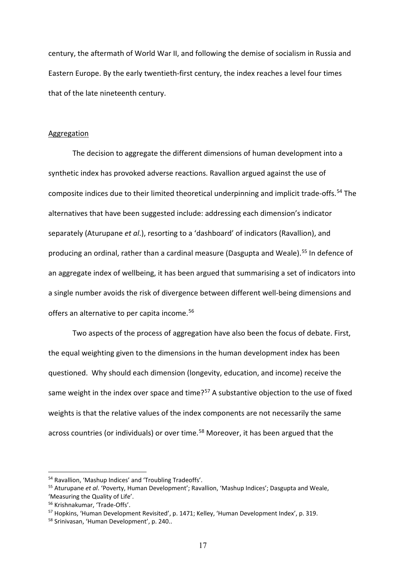century, the aftermath of World War II, and following the demise of socialism in Russia and Eastern Europe. By the early twentieth-first century, the index reaches a level four times that of the late nineteenth century.

#### Aggregation

The decision to aggregate the different dimensions of human development into a synthetic index has provoked adverse reactions. Ravallion argued against the use of composite indices due to their limited theoretical underpinning and implicit trade-offs.<sup>[54](#page-16-0)</sup> The alternatives that have been suggested include: addressing each dimension's indicator separately (Aturupane *et al*.), resorting to a 'dashboard' of indicators (Ravallion), and producing an ordinal, rather than a cardinal measure (Dasgupta and Weale).<sup>[55](#page-16-1)</sup> In defence of an aggregate index of wellbeing, it has been argued that summarising a set of indicators into a single number avoids the risk of divergence between different well-being dimensions and offers an alternative to per capita income.<sup>[56](#page-16-2)</sup>

Two aspects of the process of aggregation have also been the focus of debate. First, the equal weighting given to the dimensions in the human development index has been questioned. Why should each dimension (longevity, education, and income) receive the same weight in the index over space and time?<sup>[57](#page-16-3)</sup> A substantive objection to the use of fixed weights is that the relative values of the index components are not necessarily the same across countries (or individuals) or over time.<sup>[58](#page-16-4)</sup> Moreover, it has been argued that the

<span id="page-16-1"></span><span id="page-16-0"></span><sup>&</sup>lt;sup>54</sup> Ravallion, 'Mashup Indices' and 'Troubling Tradeoffs'.<br><sup>55</sup> Aturupane *et al*. 'Poverty, Human Development'; Ravallion, 'Mashup Indices'; Dasgupta and Weale, 'Measuring the Quality of Life'.

<span id="page-16-2"></span><sup>56</sup> Krishnakumar, 'Trade-Offs'.

<span id="page-16-3"></span><sup>&</sup>lt;sup>57</sup> Hopkins, 'Human Development Revisited', p. 1471; Kelley, 'Human Development Index', p. 319.

<span id="page-16-4"></span><sup>58</sup> Srinivasan, 'Human Development', p. 240..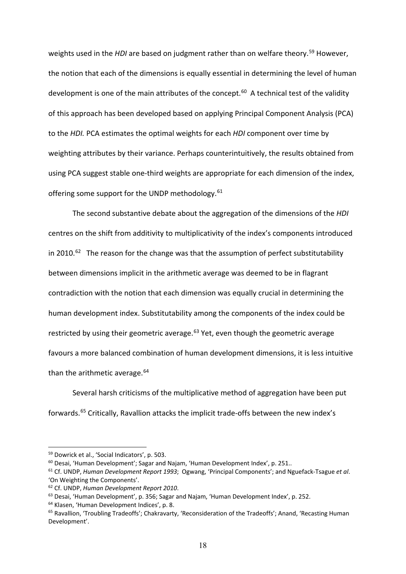weights used in the *HDI* are based on judgment rather than on welfare theory.<sup>[59](#page-17-0)</sup> However, the notion that each of the dimensions is equally essential in determining the level of human development is one of the main attributes of the concept.<sup>[60](#page-17-1)</sup> A technical test of the validity of this approach has been developed based on applying Principal Component Analysis (PCA) to the *HDI.* PCA estimates the optimal weights for each *HDI* component over time by weighting attributes by their variance. Perhaps counterintuitively, the results obtained from using PCA suggest stable one-third weights are appropriate for each dimension of the index, offering some support for the UNDP methodology.<sup>[61](#page-17-2)</sup>

The second substantive debate about the aggregation of the dimensions of the *HDI* centres on the shift from additivity to multiplicativity of the index's components introduced in 2010.<sup>[62](#page-17-3)</sup> The reason for the change was that the assumption of perfect substitutability between dimensions implicit in the arithmetic average was deemed to be in flagrant contradiction with the notion that each dimension was equally crucial in determining the human development index. Substitutability among the components of the index could be restricted by using their geometric average.<sup>[63](#page-17-4)</sup> Yet, even though the geometric average favours a more balanced combination of human development dimensions, it is less intuitive than the arithmetic average.<sup>[64](#page-17-5)</sup>

Several harsh criticisms of the multiplicative method of aggregation have been put forwards. [65](#page-17-6) Critically, Ravallion attacks the implicit trade-offs between the new index's

<span id="page-17-0"></span><sup>59</sup> Dowrick et al., 'Social Indicators', p. 503.

<span id="page-17-1"></span> $60$  Desai, 'Human Development'; Sagar and Najam, 'Human Development Index', p. 251..

<span id="page-17-2"></span><sup>61</sup> Cf. UNDP, *Human Development Report 1993*; Ogwang, 'Principal Components'; and Nguefack-Tsague *et al*. 'On Weighting the Components'.

<span id="page-17-3"></span><sup>62</sup> Cf. UNDP, *Human Development Report 2010*.

<span id="page-17-4"></span> $63$  Desai, 'Human Development', p. 356; Sagar and Najam, 'Human Development Index', p. 252. 64 Klasen, 'Human Development Indices', p. 8.

<span id="page-17-5"></span>

<span id="page-17-6"></span><sup>&</sup>lt;sup>65</sup> Ravallion, 'Troubling Tradeoffs'; Chakravarty, 'Reconsideration of the Tradeoffs'; Anand, 'Recasting Human Development'.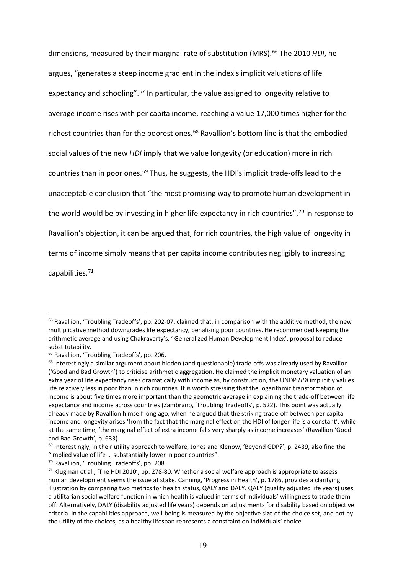dimensions, measured by their marginal rate of substitution (MRS).<sup>[66](#page-18-0)</sup> The 2010 *HDI*, he argues, "generates a steep income gradient in the index's implicit valuations of life expectancy and schooling".<sup>[67](#page-18-1)</sup> In particular, the value assigned to longevity relative to average income rises with per capita income, reaching a value 17,000 times higher for the richest countries than for the poorest ones.<sup>[68](#page-18-2)</sup> Ravallion's bottom line is that the embodied social values of the new *HDI* imply that we value longevity (or education) more in rich countries than in poor ones.<sup>[69](#page-18-3)</sup> Thus, he suggests, the HDI's implicit trade-offs lead to the unacceptable conclusion that "the most promising way to promote human development in the world would be by investing in higher life expectancy in rich countries".<sup>[70](#page-18-4)</sup> In response to Ravallion's objection, it can be argued that, for rich countries, the high value of longevity in terms of income simply means that per capita income contributes negligibly to increasing capabilities.[71](#page-18-5)

<span id="page-18-0"></span> $66$  Ravallion, 'Troubling Tradeoffs', pp. 202-07, claimed that, in comparison with the additive method, the new multiplicative method downgrades life expectancy, penalising poor countries. He recommended keeping the arithmetic average and using Chakravarty's, ' Generalized Human Development Index', proposal to reduce substitutability.<br><sup>67</sup> Ravallion, 'Troubling Tradeoffs', pp. 206.

<span id="page-18-1"></span>

<span id="page-18-2"></span> $68$  Interestingly a similar argument about hidden (and questionable) trade-offs was already used by Ravallion ('Good and Bad Growth') to criticise arithmetic aggregation. He claimed the implicit monetary valuation of an extra year of life expectancy rises dramatically with income as, by construction, the UNDP *HDI* implicitly values life relatively less in poor than in rich countries. It is worth stressing that the logarithmic transformation of income is about five times more important than the geometric average in explaining the trade-off between life expectancy and income across countries (Zambrano, 'Troubling Tradeoffs', p. 522). This point was actually already made by Ravallion himself long ago, when he argued that the striking trade-off between per capita income and longevity arises 'from the fact that the marginal effect on the HDI of longer life is a constant', while at the same time, 'the marginal effect of extra income falls very sharply as income increases' (Ravallion 'Good

<span id="page-18-3"></span>and Bad Growth', p. 633).<br><sup>69</sup> Interestingly, in their utility approach to welfare, Jones and Klenow, 'Beyond GDP?', p. 2439, also find the "implied value of life … substantially lower in poor countries".

<span id="page-18-5"></span><span id="page-18-4"></span><sup>&</sup>lt;sup>70</sup> Ravallion, 'Troubling Tradeoffs', pp. 208.<br><sup>71</sup> Klugman et al., 'The HDI 2010', pp. 278-80. Whether a social welfare approach is appropriate to assess human development seems the issue at stake. Canning, 'Progress in Health', p. 1786, provides a clarifying illustration by comparing two metrics for health status, QALY and DALY. QALY (quality adjusted life years) uses a utilitarian social welfare function in which health is valued in terms of individuals' willingness to trade them off. Alternatively, DALY (disability adjusted life years) depends on adjustments for disability based on objective criteria. In the capabilities approach, well-being is measured by the objective size of the choice set, and not by the utility of the choices, as a healthy lifespan represents a constraint on individuals' choice.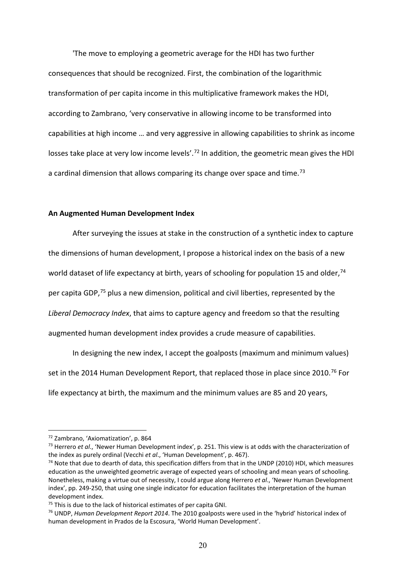'The move to employing a geometric average for the HDI has two further consequences that should be recognized. First, the combination of the logarithmic transformation of per capita income in this multiplicative framework makes the HDI, according to Zambrano, 'very conservative in allowing income to be transformed into capabilities at high income … and very aggressive in allowing capabilities to shrink as income losses take place at very low income levels'.<sup>[72](#page-19-0)</sup> In addition, the geometric mean gives the HDI a cardinal dimension that allows comparing its change over space and time.<sup>[73](#page-19-1)</sup>

## **An Augmented Human Development Index**

After surveying the issues at stake in the construction of a synthetic index to capture the dimensions of human development, I propose a historical index on the basis of a new world dataset of life expectancy at birth, years of schooling for population 15 and older,<sup>[74](#page-19-2)</sup> per capita GDP,<sup>[75](#page-19-3)</sup> plus a new dimension, political and civil liberties, represented by the *Liberal Democracy Index*, that aims to capture agency and freedom so that the resulting augmented human development index provides a crude measure of capabilities.

In designing the new index, I accept the goalposts (maximum and minimum values) set in the 2014 Human Development Report, that replaced those in place since 2010.<sup>[76](#page-19-4)</sup> For life expectancy at birth, the maximum and the minimum values are 85 and 20 years,

<span id="page-19-0"></span><sup>72</sup> Zambrano, 'Axiomatization', p. 864

<span id="page-19-1"></span><sup>73</sup> Herrero *et al*., 'Newer Human Development index', p. 251. This view is at odds with the characterization of the index as purely ordinal (Vecchi *et al*., 'Human Development', p. 467).

<span id="page-19-2"></span> $74$  Note that due to dearth of data, this specification differs from that in the UNDP (2010) HDI, which measures education as the unweighted geometric average of expected years of schooling and mean years of schooling. Nonetheless, making a virtue out of necessity, I could argue along Herrero *et al*., 'Newer Human Development index', pp. 249-250, that using one single indicator for education facilitates the interpretation of the human development index.

<span id="page-19-4"></span><span id="page-19-3"></span><sup>&</sup>lt;sup>75</sup> This is due to the lack of historical estimates of per capita GNI.<br><sup>76</sup> UNDP, *Human Development Report 2014*. The 2010 goalposts were used in the 'hybrid' historical index of human development in Prados de la Escosura, 'World Human Development'.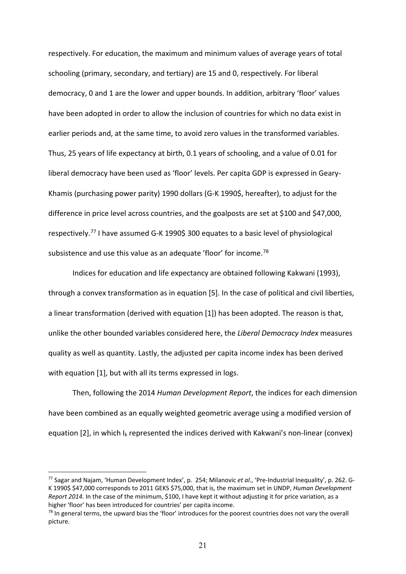respectively. For education, the maximum and minimum values of average years of total schooling (primary, secondary, and tertiary) are 15 and 0, respectively. For liberal democracy, 0 and 1 are the lower and upper bounds. In addition, arbitrary 'floor' values have been adopted in order to allow the inclusion of countries for which no data exist in earlier periods and, at the same time, to avoid zero values in the transformed variables. Thus, 25 years of life expectancy at birth, 0.1 years of schooling, and a value of 0.01 for liberal democracy have been used as 'floor' levels. Per capita GDP is expressed in Geary-Khamis (purchasing power parity) 1990 dollars (G-K 1990\$, hereafter), to adjust for the difference in price level across countries, and the goalposts are set at \$100 and \$47,000, respectively.[77](#page-20-0) I have assumed G-K 1990\$ 300 equates to a basic level of physiological subsistence and use this value as an adequate 'floor' for income.<sup>[78](#page-20-1)</sup>

Indices for education and life expectancy are obtained following Kakwani (1993), through a convex transformation as in equation [5]. In the case of political and civil liberties, a linear transformation (derived with equation [1]) has been adopted. The reason is that, unlike the other bounded variables considered here, the *Liberal Democracy Index* measures quality as well as quantity. Lastly, the adjusted per capita income index has been derived with equation [1], but with all its terms expressed in logs.

Then, following the 2014 *Human Development Report*, the indices for each dimension have been combined as an equally weighted geometric average using a modified version of equation [2], in which  $I_k$  represented the indices derived with Kakwani's non-linear (convex)

<span id="page-20-0"></span><sup>77</sup> Sagar and Najam, 'Human Development Index', p. 254; Milanovic *et al*., 'Pre-Industrial Inequality', p. 262. G-K 1990\$ \$47,000 corresponds to 2011 GEKS \$75,000, that is, the maximum set in UNDP, *Human Development Report 2014*. In the case of the minimum, \$100, I have kept it without adjusting it for price variation, as a higher 'floor' has been introduced for countries' per capita income.

<span id="page-20-1"></span> $78$  In general terms, the upward bias the 'floor' introduces for the poorest countries does not vary the overall picture.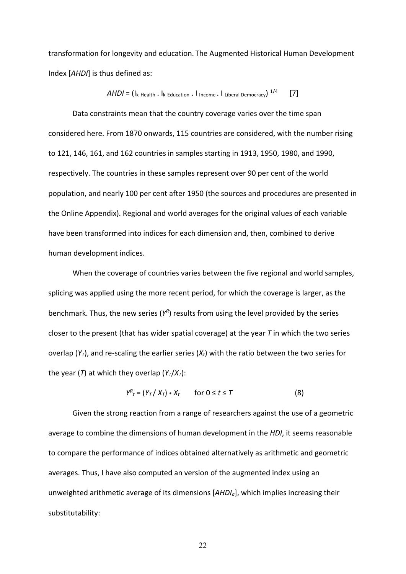transformation for longevity and education. The Augmented Historical Human Development Index [*AHDI*] is thus defined as:

$$
AHDI = (Ik Health . Ik Education . I income . I Liberal Democrac) 1/4 [7]
$$

Data constraints mean that the country coverage varies over the time span considered here. From 1870 onwards, 115 countries are considered, with the number rising to 121, 146, 161, and 162 countries in samples starting in 1913, 1950, 1980, and 1990, respectively. The countries in these samples represent over 90 per cent of the world population, and nearly 100 per cent after 1950 (the sources and procedures are presented in the Online Appendix). Regional and world averages for the original values of each variable have been transformed into indices for each dimension and, then, combined to derive human development indices.

When the coverage of countries varies between the five regional and world samples, splicing was applied using the more recent period, for which the coverage is larger, as the benchmark. Thus, the new series (*YR*) results from using the level provided by the series closer to the present (that has wider spatial coverage) at the year *T* in which the two series overlap  $(Y_T)$ , and re-scaling the earlier series  $(X_t)$  with the ratio between the two series for the year (*T*) at which they overlap  $(Y_T/X_T)$ :

$$
Y_{t}^{R} = (Y_{T} / X_{T}) * X_{t} \qquad \text{for } 0 \leq t \leq T
$$
 (8)

Given the strong reaction from a range of researchers against the use of a geometric average to combine the dimensions of human development in the *HDI*, it seems reasonable to compare the performance of indices obtained alternatively as arithmetic and geometric averages. Thus, I have also computed an version of the augmented index using an unweighted arithmetic average of its dimensions [*AHDIa*], which implies increasing their substitutability: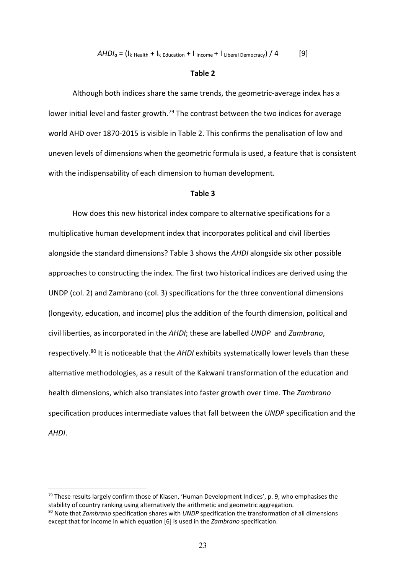$AHDI_a = (I_k_{\text{Health}} + I_k_{\text{Education}} + I_{\text{Income}} + I_{\text{Liberal Demoracy}}) / 4$  [9]

#### **Table 2**

Although both indices share the same trends, the geometric-average index has a lower initial level and faster growth.<sup>[79](#page-22-0)</sup> The contrast between the two indices for average world AHD over 1870-2015 is visible in Table 2. This confirms the penalisation of low and uneven levels of dimensions when the geometric formula is used, a feature that is consistent with the indispensability of each dimension to human development.

#### **Table 3**

How does this new historical index compare to alternative specifications for a multiplicative human development index that incorporates political and civil liberties alongside the standard dimensions? Table 3 shows the *AHDI* alongside six other possible approaches to constructing the index. The first two historical indices are derived using the UNDP (col. 2) and Zambrano (col. 3) specifications for the three conventional dimensions (longevity, education, and income) plus the addition of the fourth dimension, political and civil liberties, as incorporated in the *AHDI*; these are labelled *UNDP* and *Zambrano*, respectively.[80](#page-22-1) It is noticeable that the *AHDI* exhibits systematically lower levels than these alternative methodologies, as a result of the Kakwani transformation of the education and health dimensions, which also translates into faster growth over time. The *Zambrano* specification produces intermediate values that fall between the *UNDP* specification and the *AHDI*.

<span id="page-22-0"></span> $79$  These results largely confirm those of Klasen, 'Human Development Indices', p. 9, who emphasises the stability of country ranking using alternatively the arithmetic and geometric aggregation.

<span id="page-22-1"></span><sup>80</sup> Note that *Zambrano* specification shares with *UNDP* specification the transformation of all dimensions except that for income in which equation [6] is used in the *Zambrano* specification.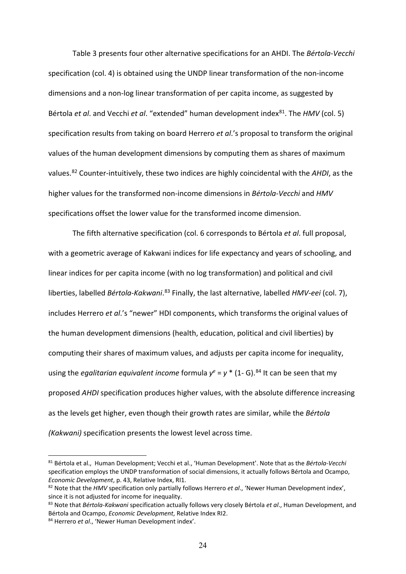Table 3 presents four other alternative specifications for an AHDI. The *Bértola-Vecchi* specification (col. 4) is obtained using the UNDP linear transformation of the non-income dimensions and a non-log linear transformation of per capita income, as suggested by Bértola *et al.* and Vecchi *et al.* "extended" human development index<sup>81</sup>. The *HMV* (col. 5) specification results from taking on board Herrero *et al*.'s proposal to transform the original values of the human development dimensions by computing them as shares of maximum values.[82](#page-23-1) Counter-intuitively, these two indices are highly coincidental with the *AHDI*, as the higher values for the transformed non-income dimensions in *Bértola-Vecchi* and *HMV* specifications offset the lower value for the transformed income dimension.

The fifth alternative specification (col. 6 corresponds to Bértola *et al*. full proposal, with a geometric average of Kakwani indices for life expectancy and years of schooling, and linear indices for per capita income (with no log transformation) and political and civil liberties, labelled *Bértola-Kakwani*. [83](#page-23-2) Finally, the last alternative, labelled *HMV-eei* (col. 7), includes Herrero *et al*.'s "newer" HDI components, which transforms the original values of the human development dimensions (health, education, political and civil liberties) by computing their shares of maximum values, and adjusts per capita income for inequality, using the *egalitarian equivalent income* formula  $y^e = y^*$  (1- G).<sup>[84](#page-23-3)</sup> It can be seen that my proposed *AHDI* specification produces higher values, with the absolute difference increasing as the levels get higher, even though their growth rates are similar, while the *Bértola (Kakwani)* specification presents the lowest level across time.

<span id="page-23-0"></span><sup>81</sup> Bértola et al., Human Development; Vecchi et al., 'Human Development'. Note that as the *Bértola-Vecchi* specification employs the UNDP transformation of social dimensions, it actually follows Bértola and Ocampo, *Economic Development*, p. 43, Relative Index, RI1.<br><sup>82</sup> Note that the *HMV* specification only partially follows Herrero *et al.*, 'Newer Human Development index',

<span id="page-23-1"></span>since it is not adjusted for income for inequality.

<span id="page-23-2"></span><sup>83</sup> Note that *Bértola-Kakwani* specification actually follows very closely Bértola *et al*., Human Development, and Bértola and Ocampo, *Economic Development*, Relative Index RI2.<br><sup>84</sup> Herrero *et al.*, 'Newer Human Development index'.

<span id="page-23-3"></span>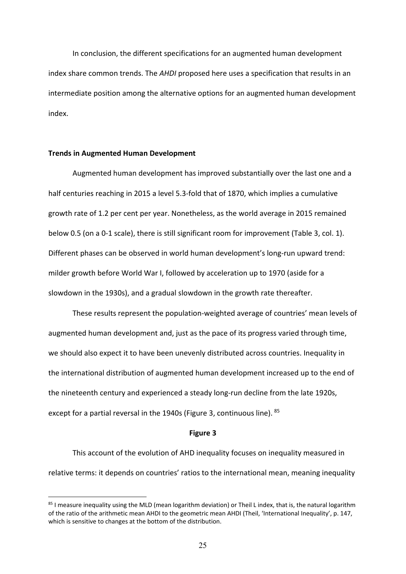In conclusion, the different specifications for an augmented human development index share common trends. The *AHDI* proposed here uses a specification that results in an intermediate position among the alternative options for an augmented human development index.

## **Trends in Augmented Human Development**

Augmented human development has improved substantially over the last one and a half centuries reaching in 2015 a level 5.3-fold that of 1870, which implies a cumulative growth rate of 1.2 per cent per year. Nonetheless, as the world average in 2015 remained below 0.5 (on a 0-1 scale), there is still significant room for improvement (Table 3, col. 1). Different phases can be observed in world human development's long-run upward trend: milder growth before World War I, followed by acceleration up to 1970 (aside for a slowdown in the 1930s), and a gradual slowdown in the growth rate thereafter.

These results represent the population-weighted average of countries' mean levels of augmented human development and, just as the pace of its progress varied through time, we should also expect it to have been unevenly distributed across countries. Inequality in the international distribution of augmented human development increased up to the end of the nineteenth century and experienced a steady long-run decline from the late 1920s, except for a partial reversal in the 1940s (Figure 3, continuous line). <sup>[85](#page-24-0)</sup>

#### **Figure 3**

This account of the evolution of AHD inequality focuses on inequality measured in relative terms: it depends on countries' ratios to the international mean, meaning inequality

<span id="page-24-0"></span><sup>&</sup>lt;sup>85</sup> I measure inequality using the MLD (mean logarithm deviation) or Theil L index, that is, the natural logarithm of the ratio of the arithmetic mean AHDI to the geometric mean AHDI (Theil, 'International Inequality', p. 147, which is sensitive to changes at the bottom of the distribution.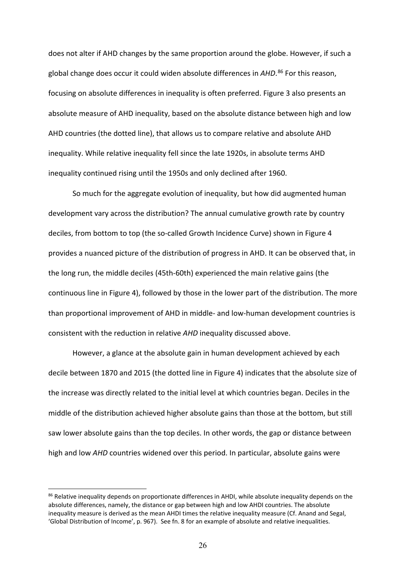does not alter if AHD changes by the same proportion around the globe. However, if such a global change does occur it could widen absolute differences in *AHD*. [86](#page-25-0) For this reason, focusing on absolute differences in inequality is often preferred. Figure 3 also presents an absolute measure of AHD inequality, based on the absolute distance between high and low AHD countries (the dotted line), that allows us to compare relative and absolute AHD inequality. While relative inequality fell since the late 1920s, in absolute terms AHD inequality continued rising until the 1950s and only declined after 1960.

So much for the aggregate evolution of inequality, but how did augmented human development vary across the distribution? The annual cumulative growth rate by country deciles, from bottom to top (the so-called Growth Incidence Curve) shown in Figure 4 provides a nuanced picture of the distribution of progress in AHD. It can be observed that, in the long run, the middle deciles (45th-60th) experienced the main relative gains (the continuous line in Figure 4), followed by those in the lower part of the distribution. The more than proportional improvement of AHD in middle- and low-human development countries is consistent with the reduction in relative *AHD* inequality discussed above.

However, a glance at the absolute gain in human development achieved by each decile between 1870 and 2015 (the dotted line in Figure 4) indicates that the absolute size of the increase was directly related to the initial level at which countries began. Deciles in the middle of the distribution achieved higher absolute gains than those at the bottom, but still saw lower absolute gains than the top deciles. In other words, the gap or distance between high and low *AHD* countries widened over this period. In particular, absolute gains were

<span id="page-25-0"></span><sup>86</sup> Relative inequality depends on proportionate differences in AHDI, while absolute inequality depends on the absolute differences, namely, the distance or gap between high and low AHDI countries. The absolute inequality measure is derived as the mean AHDI times the relative inequality measure (Cf. Anand and Segal, 'Global Distribution of Income', p. 967). See fn. 8 for an example of absolute and relative inequalities.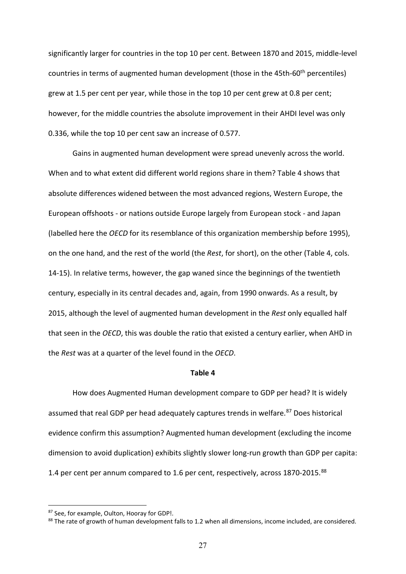significantly larger for countries in the top 10 per cent. Between 1870 and 2015, middle-level countries in terms of augmented human development (those in the 45th-60<sup>th</sup> percentiles) grew at 1.5 per cent per year, while those in the top 10 per cent grew at 0.8 per cent; however, for the middle countries the absolute improvement in their AHDI level was only 0.336, while the top 10 per cent saw an increase of 0.577.

Gains in augmented human development were spread unevenly across the world. When and to what extent did different world regions share in them? Table 4 shows that absolute differences widened between the most advanced regions, Western Europe, the European offshoots - or nations outside Europe largely from European stock - and Japan (labelled here the *OECD* for its resemblance of this organization membership before 1995), on the one hand, and the rest of the world (the *Rest*, for short), on the other (Table 4, cols. 14-15). In relative terms, however, the gap waned since the beginnings of the twentieth century, especially in its central decades and, again, from 1990 onwards. As a result, by 2015, although the level of augmented human development in the *Rest* only equalled half that seen in the *OECD*, this was double the ratio that existed a century earlier, when AHD in the *Rest* was at a quarter of the level found in the *OECD*.

#### **Table 4**

How does Augmented Human development compare to GDP per head? It is widely assumed that real GDP per head adequately captures trends in welfare.<sup>[87](#page-26-0)</sup> Does historical evidence confirm this assumption? Augmented human development (excluding the income dimension to avoid duplication) exhibits slightly slower long-run growth than GDP per capita: 1.4 per cent per annum compared to 1.6 per cent, respectively, across 1870-2015.<sup>[88](#page-26-1)</sup>

<span id="page-26-1"></span><span id="page-26-0"></span><sup>&</sup>lt;sup>87</sup> See, for example, Oulton, Hooray for GDP!.<br><sup>88</sup> The rate of growth of human development falls to 1.2 when all dimensions, income included, are considered.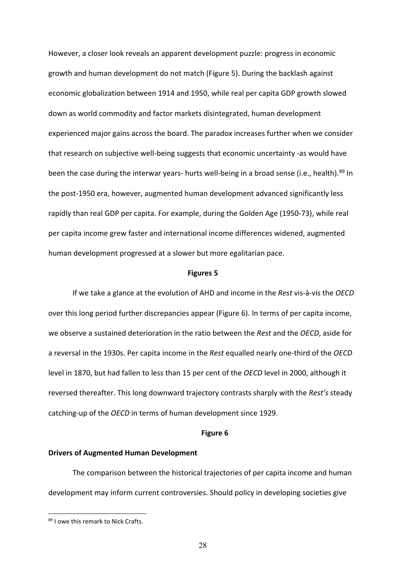However, a closer look reveals an apparent development puzzle: progress in economic growth and human development do not match (Figure 5). During the backlash against economic globalization between 1914 and 1950, while real per capita GDP growth slowed down as world commodity and factor markets disintegrated, human development experienced major gains across the board. The paradox increases further when we consider that research on subjective well-being suggests that economic uncertainty -as would have been the case during the interwar years- hurts well-being in a broad sense (i.e., health).<sup>[89](#page-27-0)</sup> In the post-1950 era, however, augmented human development advanced significantly less rapidly than real GDP per capita. For example, during the Golden Age (1950-73), while real per capita income grew faster and international income differences widened, augmented human development progressed at a slower but more egalitarian pace.

#### **Figures 5**

If we take a glance at the evolution of AHD and income in the *Rest* vis-à-vis the *OECD* over this long period further discrepancies appear (Figure 6). In terms of per capita income, we observe a sustained deterioration in the ratio between the *Rest* and the *OECD*, aside for a reversal in the 1930s. Per capita income in the *Rest* equalled nearly one-third of the *OECD* level in 1870, but had fallen to less than 15 per cent of the *OECD* level in 2000, although it reversed thereafter. This long downward trajectory contrasts sharply with the *Rest's* steady catching-up of the *OECD* in terms of human development since 1929.

#### **Figure 6**

## **Drivers of Augmented Human Development**

The comparison between the historical trajectories of per capita income and human development may inform current controversies. Should policy in developing societies give

<span id="page-27-0"></span><sup>89</sup> I owe this remark to Nick Crafts.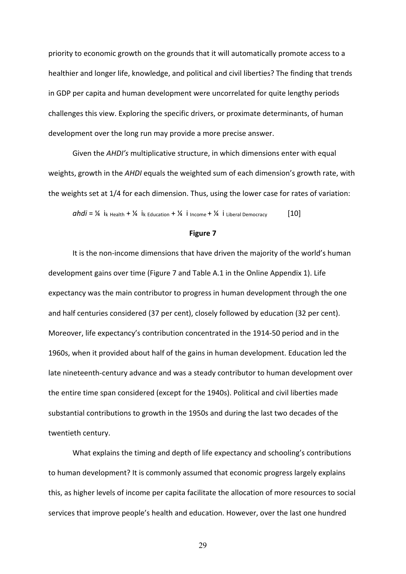priority to economic growth on the grounds that it will automatically promote access to a healthier and longer life, knowledge, and political and civil liberties? The finding that trends in GDP per capita and human development were uncorrelated for quite lengthy periods challenges this view. Exploring the specific drivers, or proximate determinants, of human development over the long run may provide a more precise answer.

Given the *AHDI's* multiplicative structure, in which dimensions enter with equal weights, growth in the *AHDI* equals the weighted sum of each dimension's growth rate, with the weights set at 1/4 for each dimension. Thus, using the lower case for rates of variation:

 $abdi = \frac{1}{4}$  i<sub>k Health</sub> +  $\frac{1}{4}$  i<sub>k</sub> Education +  $\frac{1}{4}$  i<sub>l</sub> Income +  $\frac{1}{4}$  i Liberal Democracy [10]

#### **Figure 7**

It is the non-income dimensions that have driven the majority of the world's human development gains over time (Figure 7 and Table A.1 in the Online Appendix 1). Life expectancy was the main contributor to progress in human development through the one and half centuries considered (37 per cent), closely followed by education (32 per cent). Moreover, life expectancy's contribution concentrated in the 1914-50 period and in the 1960s, when it provided about half of the gains in human development. Education led the late nineteenth-century advance and was a steady contributor to human development over the entire time span considered (except for the 1940s). Political and civil liberties made substantial contributions to growth in the 1950s and during the last two decades of the twentieth century.

What explains the timing and depth of life expectancy and schooling's contributions to human development? It is commonly assumed that economic progress largely explains this, as higher levels of income per capita facilitate the allocation of more resources to social services that improve people's health and education. However, over the last one hundred

29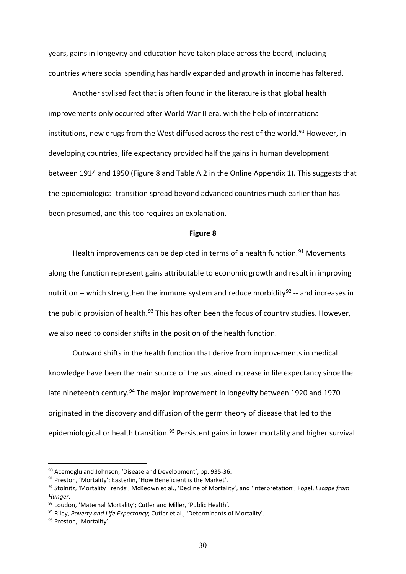years, gains in longevity and education have taken place across the board, including countries where social spending has hardly expanded and growth in income has faltered.

Another stylised fact that is often found in the literature is that global health improvements only occurred after World War II era, with the help of international institutions, new drugs from the West diffused across the rest of the world.<sup>[90](#page-29-0)</sup> However, in developing countries, life expectancy provided half the gains in human development between 1914 and 1950 (Figure 8 and Table A.2 in the Online Appendix 1). This suggests that the epidemiological transition spread beyond advanced countries much earlier than has been presumed, and this too requires an explanation.

#### **Figure 8**

Health improvements can be depicted in terms of a health function.<sup>[91](#page-29-1)</sup> Movements along the function represent gains attributable to economic growth and result in improving nutrition -- which strengthen the immune system and reduce morbidity<sup>[92](#page-29-2)</sup> -- and increases in the public provision of health.<sup>[93](#page-29-3)</sup> This has often been the focus of country studies. However, we also need to consider shifts in the position of the health function.

Outward shifts in the health function that derive from improvements in medical knowledge have been the main source of the sustained increase in life expectancy since the late nineteenth century.<sup>[94](#page-29-4)</sup> The major improvement in longevity between 1920 and 1970 originated in the discovery and diffusion of the germ theory of disease that led to the epidemiological or health transition.<sup>[95](#page-29-5)</sup> Persistent gains in lower mortality and higher survival

<span id="page-29-0"></span><sup>90</sup> Acemoglu and Johnson, 'Disease and Development', pp. 935-36.

<span id="page-29-1"></span><sup>91</sup> Preston, 'Mortality'; Easterlin, 'How Beneficient is the Market'.

<span id="page-29-2"></span><sup>92</sup> Stolnitz, 'Mortality Trends'; McKeown et al., 'Decline of Mortality', and 'Interpretation'; Fogel, *Escape from Hunger*.

<span id="page-29-3"></span><sup>93</sup> Loudon, 'Maternal Mortality'; Cutler and Miller, 'Public Health'.

<span id="page-29-4"></span><sup>94</sup> Riley, *Poverty and Life Expectancy*; Cutler et al., 'Determinants of Mortality'.

<span id="page-29-5"></span><sup>95</sup> Preston, 'Mortality'.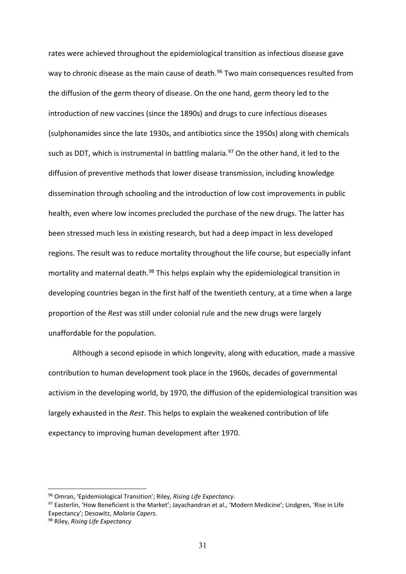rates were achieved throughout the epidemiological transition as infectious disease gave way to chronic disease as the main cause of death.<sup>[96](#page-30-0)</sup> Two main consequences resulted from the diffusion of the germ theory of disease. On the one hand, germ theory led to the introduction of new vaccines (since the 1890s) and drugs to cure infectious diseases (sulphonamides since the late 1930s, and antibiotics since the 1950s) along with chemicals such as DDT, which is instrumental in battling malaria.<sup>[97](#page-30-1)</sup> On the other hand, it led to the diffusion of preventive methods that lower disease transmission, including knowledge dissemination through schooling and the introduction of low cost improvements in public health, even where low incomes precluded the purchase of the new drugs. The latter has been stressed much less in existing research, but had a deep impact in less developed regions. The result was to reduce mortality throughout the life course, but especially infant mortality and maternal death.<sup>[98](#page-30-2)</sup> This helps explain why the epidemiological transition in developing countries began in the first half of the twentieth century, at a time when a large proportion of the *Rest* was still under colonial rule and the new drugs were largely unaffordable for the population.

Although a second episode in which longevity, along with education, made a massive contribution to human development took place in the 1960s, decades of governmental activism in the developing world, by 1970, the diffusion of the epidemiological transition was largely exhausted in the *Rest*. This helps to explain the weakened contribution of life expectancy to improving human development after 1970.

<span id="page-30-0"></span><sup>96</sup> Omran, 'Epidemiological Transition'; Riley, *Rising Life Expectancy*.

<span id="page-30-1"></span><sup>97</sup> Easterlin, 'How Beneficient is the Market'; Jayachandran et al., 'Modern Medicine'; Lindgren, 'Rise in Life Expectancy'; Desowitz, *Malaria Capers*.

<span id="page-30-2"></span><sup>98</sup> Riley, *Rising Life Expectancy*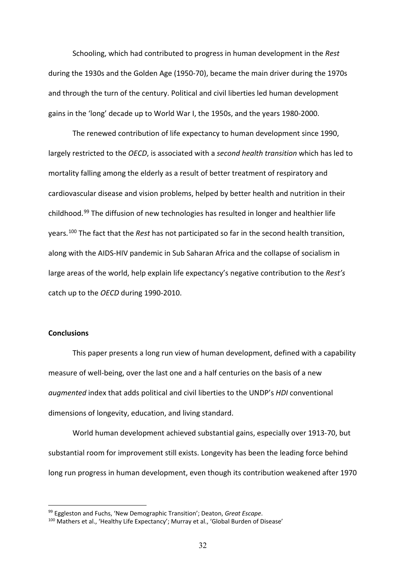Schooling, which had contributed to progress in human development in the *Rest* during the 1930s and the Golden Age (1950-70), became the main driver during the 1970s and through the turn of the century. Political and civil liberties led human development gains in the 'long' decade up to World War I, the 1950s, and the years 1980-2000.

The renewed contribution of life expectancy to human development since 1990, largely restricted to the *OECD*, is associated with a *second health transition* which has led to mortality falling among the elderly as a result of better treatment of respiratory and cardiovascular disease and vision problems, helped by better health and nutrition in their childhood.[99](#page-31-0) The diffusion of new technologies has resulted in longer and healthier life years.[100](#page-31-1) The fact that the *Rest* has not participated so far in the second health transition, along with the AIDS-HIV pandemic in Sub Saharan Africa and the collapse of socialism in large areas of the world, help explain life expectancy's negative contribution to the *Rest's* catch up to the *OECD* during 1990-2010.

## **Conclusions**

This paper presents a long run view of human development, defined with a capability measure of well-being, over the last one and a half centuries on the basis of a new *augmented* index that adds political and civil liberties to the UNDP's *HDI* conventional dimensions of longevity, education, and living standard.

World human development achieved substantial gains, especially over 1913-70, but substantial room for improvement still exists. Longevity has been the leading force behind long run progress in human development, even though its contribution weakened after 1970

<span id="page-31-0"></span><sup>99</sup> Eggleston and Fuchs, 'New Demographic Transition'; Deaton, *Great Escape*.

<span id="page-31-1"></span><sup>100</sup> Mathers et al., 'Healthy Life Expectancy'; Murray et al., 'Global Burden of Disease'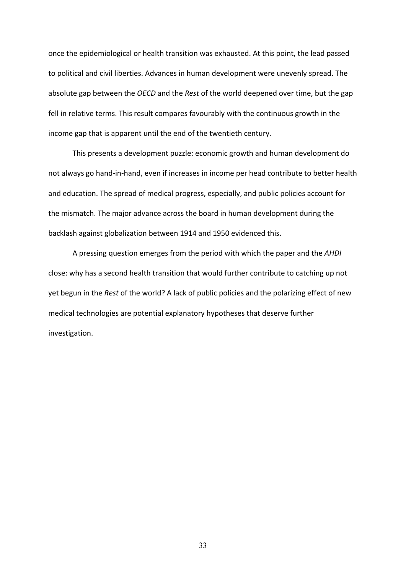once the epidemiological or health transition was exhausted. At this point, the lead passed to political and civil liberties. Advances in human development were unevenly spread. The absolute gap between the *OECD* and the *Rest* of the world deepened over time, but the gap fell in relative terms. This result compares favourably with the continuous growth in the income gap that is apparent until the end of the twentieth century.

This presents a development puzzle: economic growth and human development do not always go hand-in-hand, even if increases in income per head contribute to better health and education. The spread of medical progress, especially, and public policies account for the mismatch. The major advance across the board in human development during the backlash against globalization between 1914 and 1950 evidenced this.

A pressing question emerges from the period with which the paper and the *AHDI* close: why has a second health transition that would further contribute to catching up not yet begun in the *Rest* of the world? A lack of public policies and the polarizing effect of new medical technologies are potential explanatory hypotheses that deserve further investigation.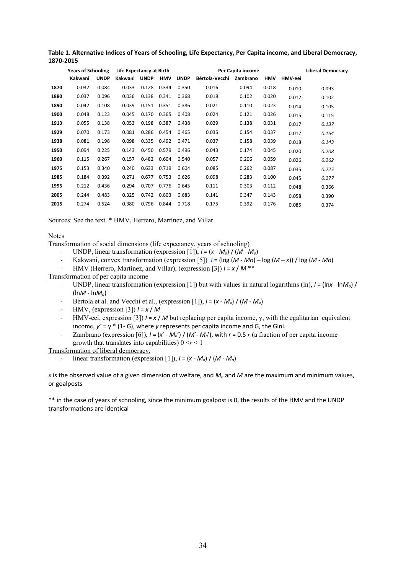|      | <b>Years of Schooling</b> |             | Life Expectancy at Birth |             |            |             | Per Capita income | <b>Liberal Democracy</b> |            |         |       |
|------|---------------------------|-------------|--------------------------|-------------|------------|-------------|-------------------|--------------------------|------------|---------|-------|
|      | Kakwani                   | <b>UNDP</b> | Kakwani                  | <b>UNDP</b> | <b>HMV</b> | <b>UNDP</b> | Bértola-Vecchi    | Zambrano                 | <b>HMV</b> | HMV-eei |       |
| 1870 | 0.032                     | 0.084       | 0.033                    | 0.128       | 0.334      | 0.350       | 0.016             | 0.094                    | 0.018      | 0.010   | 0.093 |
| 1880 | 0.037                     | 0.096       | 0.036                    | 0.138       | 0.341      | 0.368       | 0.018             | 0.102                    | 0.020      | 0.012   | 0.102 |
| 1890 | 0.042                     | 0.108       | 0.039                    | 0.151       | 0.351      | 0.386       | 0.021             | 0.110                    | 0.023      | 0.014   | 0.105 |
| 1900 | 0.048                     | 0.123       | 0.045                    | 0.170       | 0.365      | 0.408       | 0.024             | 0.121                    | 0.026      | 0.015   | 0.115 |
| 1913 | 0.055                     | 0.138       | 0.053                    | 0.198       | 0.387      | 0.438       | 0.029             | 0.138                    | 0.031      | 0.017   | 0.137 |
| 1929 | 0.070                     | 0.173       | 0.081                    | 0.286       | 0.454      | 0.465       | 0.035             | 0.154                    | 0.037      | 0.017   | 0.154 |
| 1938 | 0.081                     | 0.198       | 0.098                    | 0.335       | 0.492      | 0.471       | 0.037             | 0.158                    | 0.039      | 0.018   | 0.143 |
| 1950 | 0.094                     | 0.225       | 0.143                    | 0.450       | 0.579      | 0.496       | 0.043             | 0.174                    | 0.045      | 0.020   | 0.208 |
| 1960 | 0.115                     | 0.267       | 0.157                    | 0.482       | 0.604      | 0.540       | 0.057             | 0.206                    | 0.059      | 0.026   | 0.262 |
| 1975 | 0.153                     | 0.340       | 0.240                    | 0.633       | 0.719      | 0.604       | 0.085             | 0.262                    | 0.087      | 0.035   | 0.225 |
| 1985 | 0.184                     | 0.392       | 0.271                    | 0.677       | 0.753      | 0.626       | 0.098             | 0.283                    | 0.100      | 0.045   | 0.277 |
| 1995 | 0.212                     | 0.436       | 0.294                    | 0.707       | 0.776      | 0.645       | 0.111             | 0.303                    | 0.112      | 0.048   | 0.366 |
| 2005 | 0.244                     | 0.483       | 0.325                    | 0.742       | 0.803      | 0.683       | 0.141             | 0.347                    | 0.143      | 0.058   | 0.390 |
| 2015 | 0.274                     | 0.524       | 0.380                    | 0.796       | 0.844      | 0.718       | 0.175             | 0.392                    | 0.176      | 0.085   | 0.374 |

**Table 1. Alternative Indices of Years of Schooling, Life Expectancy, Per Capita income, and Liberal Democracy, 1870-2015**

Sources: See the text. \* HMV, Herrero, Martínez, and Villar

#### Notes

Transformation of social dimensions (life expectancy, years of schooling)

- UNDP, linear transformation (expression [1]),  $I = (x M_0) / (M M_0)$
- Kakwani, convex transformation (expression [5]) *I* = (log (*M Mo*) log (*M x*)) / log (*M Mo*)
- HMV (Herrero, Martínez, and Villar), (expression [3]) *I* = *x* / *M* \*\*

Transformation of per capita income

- UNDP, linear transformation (expression [1]) but with values in natural logarithms (ln),  $I = \frac{\ln x \ln x}{x}$ (ln*M* - ln*Mo*)
- Bértola et al. and Vecchi et al., (expression [1]), *I* = (*x Mo*) / (*M Mo*)
- HMV, (expression [3]) *I* = *x* / *M*
- HMV-eei, expression [3])  $I = x / M$  but replacing per capita income, y, with the egalitarian equivalent income,  $y^e = y^*$  (1- G), where *y* represents per capita income and G, the Gini.
- Zambrano (expression [6]),  $I = (x^r M_o^r) / (M^r M_o^r)$ , with  $r = 0.5 r$  (a fraction of per capita income growth that translates into capabilities)  $0 \le r \le 1$

Transformation of liberal democracy,

linear transformation (expression [1]),  $I = (x - M_0) / (M - M_0)$ 

*x* is the observed value of a given dimension of welfare, and *Mo* and *M* are the maximum and minimum values, or goalposts

\*\* in the case of years of schooling, since the minimum goalpost is 0, the results of the HMV and the UNDP transformations are identical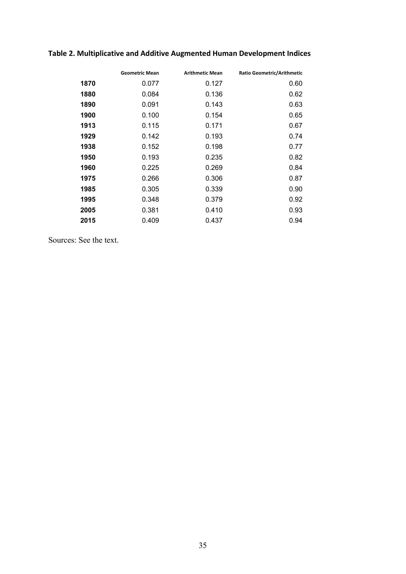# **Table 2. Multiplicative and Additive Augmented Human Development Indices**

|      | <b>Geometric Mean</b> | <b>Arithmetic Mean</b> | Ratio Geometric/Arithmetic |
|------|-----------------------|------------------------|----------------------------|
| 1870 | 0.077                 | 0.127                  | 0.60                       |
| 1880 | 0.084                 | 0.136                  | 0.62                       |
| 1890 | 0.091                 | 0.143                  | 0.63                       |
| 1900 | 0.100                 | 0.154                  | 0.65                       |
| 1913 | 0.115                 | 0.171                  | 0.67                       |
| 1929 | 0.142                 | 0.193                  | 0.74                       |
| 1938 | 0.152                 | 0.198                  | 0.77                       |
| 1950 | 0.193                 | 0.235                  | 0.82                       |
| 1960 | 0.225                 | 0.269                  | 0.84                       |
| 1975 | 0.266                 | 0.306                  | 0.87                       |
| 1985 | 0.305                 | 0.339                  | 0.90                       |
| 1995 | 0.348                 | 0.379                  | 0.92                       |
| 2005 | 0.381                 | 0.410                  | 0.93                       |
| 2015 | 0.409                 | 0.437                  | 0.94                       |

Sources: See the text.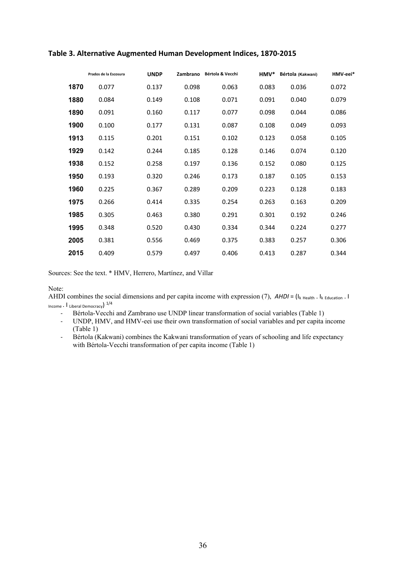| Prados de la Escosura | <b>UNDP</b> | Zambrano | Bértola & Vecchi | HMV*  | Bértola (Kakwani) | HMV-eei* |
|-----------------------|-------------|----------|------------------|-------|-------------------|----------|
| 1870<br>0.077         | 0.137       | 0.098    | 0.063            | 0.083 | 0.036             | 0.072    |
| 1880<br>0.084         | 0.149       | 0.108    | 0.071            | 0.091 | 0.040             | 0.079    |
| 1890<br>0.091         | 0.160       | 0.117    | 0.077            | 0.098 | 0.044             | 0.086    |
| 1900<br>0.100         | 0.177       | 0.131    | 0.087            | 0.108 | 0.049             | 0.093    |
| 1913<br>0.115         | 0.201       | 0.151    | 0.102            | 0.123 | 0.058             | 0.105    |
| 1929<br>0.142         | 0.244       | 0.185    | 0.128            | 0.146 | 0.074             | 0.120    |
| 1938<br>0.152         | 0.258       | 0.197    | 0.136            | 0.152 | 0.080             | 0.125    |
| 1950<br>0.193         | 0.320       | 0.246    | 0.173            | 0.187 | 0.105             | 0.153    |
| 1960<br>0.225         | 0.367       | 0.289    | 0.209            | 0.223 | 0.128             | 0.183    |
| 1975<br>0.266         | 0.414       | 0.335    | 0.254            | 0.263 | 0.163             | 0.209    |
| 1985<br>0.305         | 0.463       | 0.380    | 0.291            | 0.301 | 0.192             | 0.246    |
| 1995<br>0.348         | 0.520       | 0.430    | 0.334            | 0.344 | 0.224             | 0.277    |
| 2005<br>0.381         | 0.556       | 0.469    | 0.375            | 0.383 | 0.257             | 0.306    |
| 2015<br>0.409         | 0.579       | 0.497    | 0.406            | 0.413 | 0.287             | 0.344    |
|                       |             |          |                  |       |                   |          |

## **Table 3. Alternative Augmented Human Development Indices, 1870-2015**

Sources: See the text. \* HMV, Herrero, Martínez, and Villar

Note:

AHDI combines the social dimensions and per capita income with expression (7), *AHDI* = (I<sub>k Health</sub>. I<sub>k Education</sub>. I Income . I Liberal Democracy) 1/4

- Bértola-Vecchi and Zambrano use UNDP linear transformation of social variables (Table 1)
- UNDP, HMV, and HMV-eei use their own transformation of social variables and per capita income (Table 1)
- Bértola (Kakwani) combines the Kakwani transformation of years of schooling and life expectancy with Bértola-Vecchi transformation of per capita income (Table 1)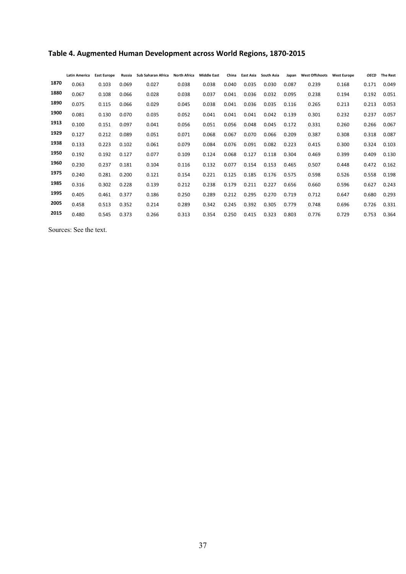|      | <b>Latin America</b> | <b>East Europe</b> | Russia | Sub Saharan Africa | <b>North Africa</b> | <b>Middle East</b> | China | East Asia | <b>South Asia</b> | Japan | <b>West Offshoots</b> | <b>West Europe</b> | <b>OECD</b> | <b>The Rest</b> |
|------|----------------------|--------------------|--------|--------------------|---------------------|--------------------|-------|-----------|-------------------|-------|-----------------------|--------------------|-------------|-----------------|
| 1870 | 0.063                | 0.103              | 0.069  | 0.027              | 0.038               | 0.038              | 0.040 | 0.035     | 0.030             | 0.087 | 0.239                 | 0.168              | 0.171       | 0.049           |
| 1880 | 0.067                | 0.108              | 0.066  | 0.028              | 0.038               | 0.037              | 0.041 | 0.036     | 0.032             | 0.095 | 0.238                 | 0.194              | 0.192       | 0.051           |
| 1890 | 0.075                | 0.115              | 0.066  | 0.029              | 0.045               | 0.038              | 0.041 | 0.036     | 0.035             | 0.116 | 0.265                 | 0.213              | 0.213       | 0.053           |
| 1900 | 0.081                | 0.130              | 0.070  | 0.035              | 0.052               | 0.041              | 0.041 | 0.041     | 0.042             | 0.139 | 0.301                 | 0.232              | 0.237       | 0.057           |
| 1913 | 0.100                | 0.151              | 0.097  | 0.041              | 0.056               | 0.051              | 0.056 | 0.048     | 0.045             | 0.172 | 0.331                 | 0.260              | 0.266       | 0.067           |
| 1929 | 0.127                | 0.212              | 0.089  | 0.051              | 0.071               | 0.068              | 0.067 | 0.070     | 0.066             | 0.209 | 0.387                 | 0.308              | 0.318       | 0.087           |
| 1938 | 0.133                | 0.223              | 0.102  | 0.061              | 0.079               | 0.084              | 0.076 | 0.091     | 0.082             | 0.223 | 0.415                 | 0.300              | 0.324       | 0.103           |
| 1950 | 0.192                | 0.192              | 0.127  | 0.077              | 0.109               | 0.124              | 0.068 | 0.127     | 0.118             | 0.304 | 0.469                 | 0.399              | 0.409       | 0.130           |
| 1960 | 0.230                | 0.237              | 0.181  | 0.104              | 0.116               | 0.132              | 0.077 | 0.154     | 0.153             | 0.465 | 0.507                 | 0.448              | 0.472       | 0.162           |
| 1975 | 0.240                | 0.281              | 0.200  | 0.121              | 0.154               | 0.221              | 0.125 | 0.185     | 0.176             | 0.575 | 0.598                 | 0.526              | 0.558       | 0.198           |
| 1985 | 0.316                | 0.302              | 0.228  | 0.139              | 0.212               | 0.238              | 0.179 | 0.211     | 0.227             | 0.656 | 0.660                 | 0.596              | 0.627       | 0.243           |
| 1995 | 0.405                | 0.461              | 0.377  | 0.186              | 0.250               | 0.289              | 0.212 | 0.295     | 0.270             | 0.719 | 0.712                 | 0.647              | 0.680       | 0.293           |
| 2005 | 0.458                | 0.513              | 0.352  | 0.214              | 0.289               | 0.342              | 0.245 | 0.392     | 0.305             | 0.779 | 0.748                 | 0.696              | 0.726       | 0.331           |
| 2015 | 0.480                | 0.545              | 0.373  | 0.266              | 0.313               | 0.354              | 0.250 | 0.415     | 0.323             | 0.803 | 0.776                 | 0.729              | 0.753       | 0.364           |

Sources: See the text.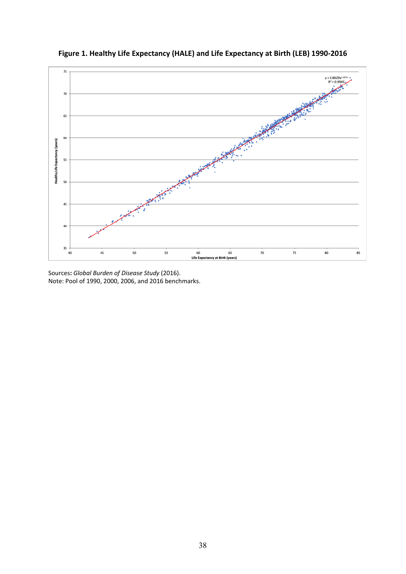

**Figure 1. Healthy Life Expectancy (HALE) and Life Expectancy at Birth (LEB) 1990-2016**

Sources**:** *Global Burden of Disease Study* (2016). Note: Pool of 1990, 2000, 2006, and 2016 benchmarks.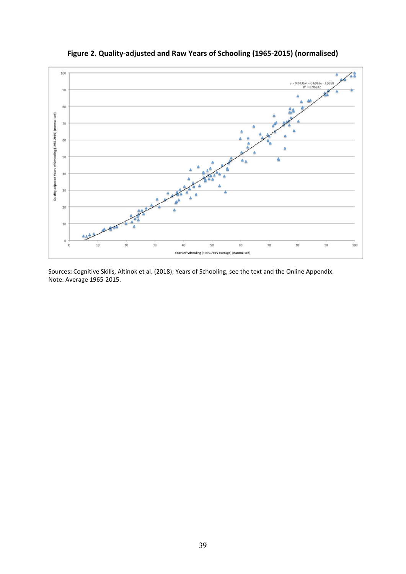

**Figure 2. Quality-adjusted and Raw Years of Schooling (1965-2015) (normalised)**

Sources**:** Cognitive Skills, Altinok et al. (2018); Years of Schooling, see the text and the Online Appendix. Note: Average 1965-2015.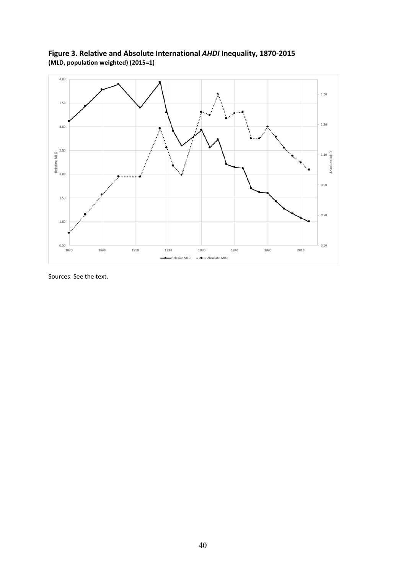**Figure 3. Relative and Absolute International** *AHDI* **Inequality, 1870-2015 (MLD, population weighted) (2015=1)**



Sources: See the text.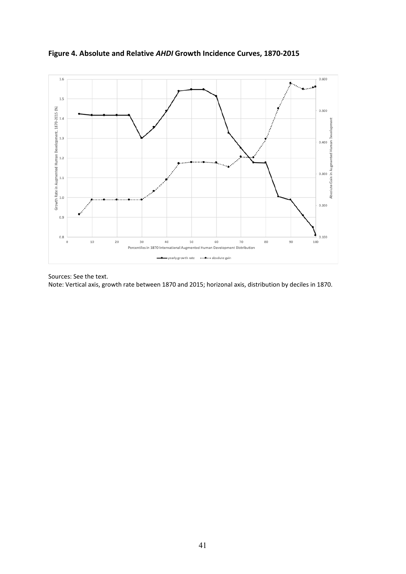

**Figure 4. Absolute and Relative** *AHDI* **Growth Incidence Curves, 1870-2015**

Sources: See the text. Note: Vertical axis, growth rate between 1870 and 2015; horizonal axis, distribution by deciles in 1870.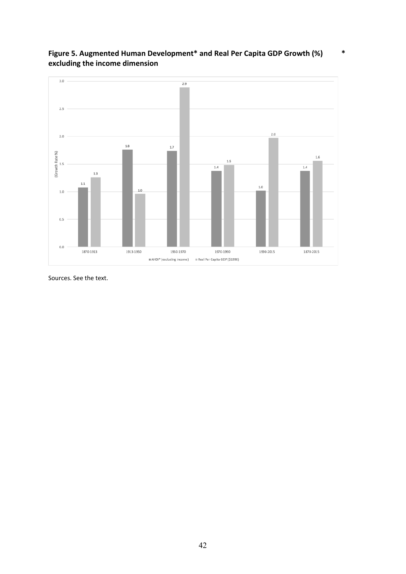

**Figure 5. Augmented Human Development\* and Real Per Capita GDP Growth (%) \* excluding the income dimension**

Sources. See the text.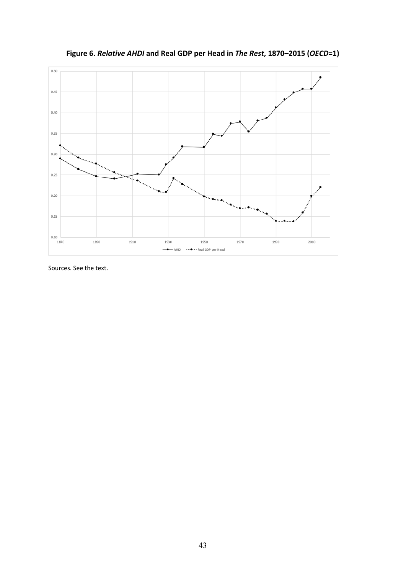

**Figure 6.** *Relative AHDI* **and Real GDP per Head in** *The Rest***, 1870–2015 (***OECD***=1)**

Sources. See the text.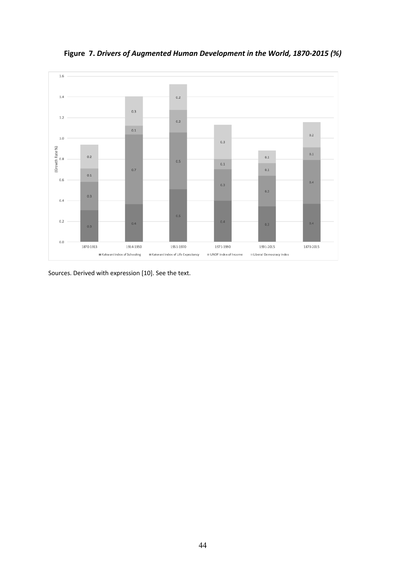

**Figure 7.** *Drivers of Augmented Human Development in the World, 1870-2015 (%)*

Sources. Derived with expression [10]. See the text.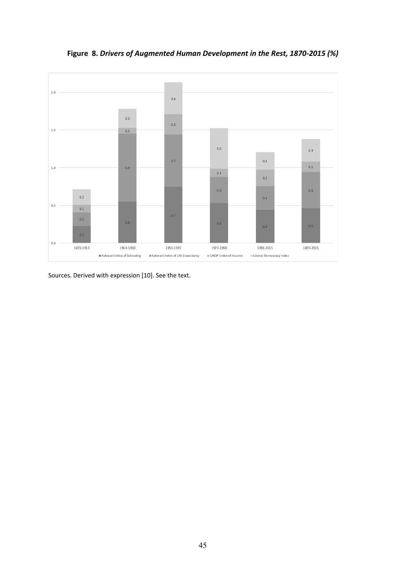

**Figure 8.** *Drivers of Augmented Human Development in the Rest, 1870-2015 (%)*

Sources. Derived with expression [10]. See the text.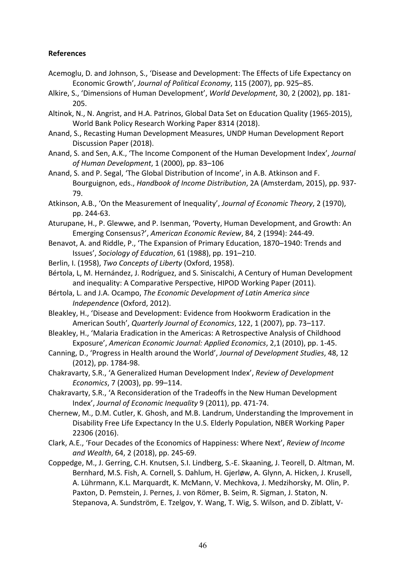# **References**

- Acemoglu, D. and Johnson, S., 'Disease and Development: The Effects of Life Expectancy on Economic Growth', *Journal of Political Economy*, 115 (2007), pp. 925–85.
- Alkire, S., 'Dimensions of Human Development', *World Development*, 30, 2 (2002), pp. 181- 205.
- Altinok, N., N. Angrist, and H.A. Patrinos, Global Data Set on Education Quality (1965-2015), World Bank Policy Research Working Paper 8314 (2018).
- Anand, S., Recasting Human Development Measures, UNDP Human Development Report Discussion Paper (2018).
- Anand, S. and Sen, A.K., 'The Income Component of the Human Development Index', *Journal of Human Development*, 1 (2000), pp. 83–106
- Anand, S. and P. Segal, 'The Global Distribution of Income', in A.B. Atkinson and F. Bourguignon, eds., *Handbook of Income Distribution*, 2A (Amsterdam, 2015), pp. 937- 79.
- Atkinson, A.B., 'On the Measurement of Inequality', *Journal of Economic Theory*, 2 (1970), pp. 244-63.
- Aturupane, H., P. Glewwe, and P. Isenman, 'Poverty, Human Development, and Growth: An Emerging Consensus?', *American Economic Review*, 84, 2 (1994): 244-49.
- Benavot, A. and Riddle, P., 'The Expansion of Primary Education, 1870–1940: Trends and Issues', *Sociology of Education*, 61 (1988), pp. 191–210.
- Berlin, I. (1958), *Two Concepts of Liberty* (Oxford, 1958).
- Bértola, L, M. Hernández, J. Rodríguez, and S. Siniscalchi, A Century of Human Development and inequality: A Comparative Perspective, HIPOD Working Paper (2011).
- Bértola, L. and J.A. Ocampo, *The Economic Development of Latin America since Independence* (Oxford, 2012).
- Bleakley, H., 'Disease and Development: Evidence from Hookworm Eradication in the American South', *Quarterly Journal of Economics*, 122, 1 (2007), pp. 73–117.
- Bleakley, H., 'Malaria Eradication in the Americas: A Retrospective Analysis of Childhood Exposure', *American Economic Journal: Applied Economics*, 2,1 (2010), pp. 1-45.
- Canning, D., 'Progress in Health around the World', *Journal of Development Studies*, 48, 12 (2012), pp. 1784-98.
- Chakravarty, S.R., 'A Generalized Human Development Index', *Review of Development Economics*, 7 (2003), pp. 99–114.
- Chakravarty, S.R., 'A Reconsideration of the Tradeoffs in the New Human Development Index', *Journal of Economic Inequality* 9 (2011), pp. 471-74.
- Chernew, M., D.M. Cutler, K. Ghosh, and M.B. Landrum, Understanding the Improvement in Disability Free Life Expectancy In the U.S. Elderly Population, NBER Working Paper 22306 (2016).
- Clark, A.E., 'Four Decades of the Economics of Happiness: Where Next', *Review of Income and Wealth*, 64, 2 (2018), pp. 245-69.
- Coppedge, M., J. Gerring, C.H. Knutsen, S.I. Lindberg, S.-E. Skaaning, J. Teorell, D. Altman, M. Bernhard, M.S. Fish, A. Cornell, S. Dahlum, H. Gjerløw, A. Glynn, A. Hicken, J. Krusell, A. Lührmann, K.L. Marquardt, K. McMann, V. Mechkova, J. Medzihorsky, M. Olin, P. Paxton, D. Pemstein, J. Pernes, J. von Römer, B. Seim, R. Sigman, J. Staton, N. Stepanova, A. Sundström, E. Tzelgov, Y. Wang, T. Wig, S. Wilson, and D. Ziblatt, V-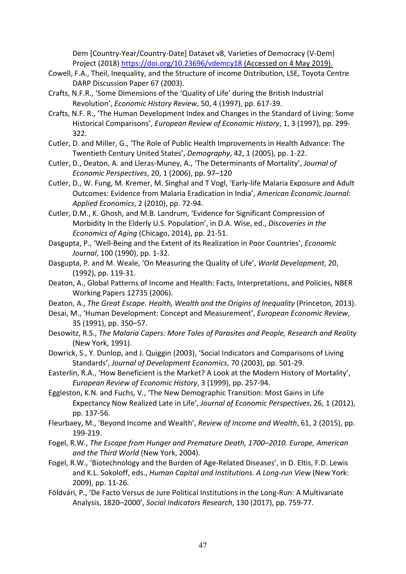Dem [Country-Year/Country-Date] Dataset v8, Varieties of Democracy (V-Dem) Project (2018) <https://doi.org/10.23696/vdemcy18> (Accessed on 4 May 2019).

- Cowell, F.A., Theil, Inequality, and the Structure of income Distribution, LSE, Toyota Centre DARP Discussion Paper 67 (2003).
- Crafts, N.F.R., 'Some Dimensions of the 'Quality of Life' during the British Industrial Revolution', *Economic History Review*, 50, 4 (1997), pp. 617-39.
- Crafts, N.F. R., 'The Human Development Index and Changes in the Standard of Living: Some Historical Comparisons', *European Review of Economic History*, 1, 3 (1997), pp. 299- 322.
- Cutler, D. and Miller, G., 'The Role of Public Health Improvements in Health Advance: The Twentieth Century United States', *Demography*, 42, 1 (2005), pp. 1-22.
- Cutler, D., Deaton, A. and Lleras-Muney, A., 'The Determinants of Mortality', *Journal of Economic Perspectives*, 20, 1 (2006), pp. 97–120
- Cutler, D., W. Fung, M. Kremer, M. Singhal and T Vogl, 'Early-life Malaria Exposure and Adult Outcomes: Evidence from Malaria Eradication in India', *American Economic Journal*: *Applied Economics*, 2 (2010), pp. 72-94.
- Cutler, D.M., K. Ghosh, and M.B. Landrum, 'Evidence for Significant Compression of Morbidity In the Elderly U.S. Population', in D.A. Wise, ed., *Discoveries in the Economics of Aging* (Chicago, 2014), pp. 21-51.
- Dasgupta, P., 'Well-Being and the Extent of its Realization in Poor Countries', *Economic Journal*, 100 (1990), pp. 1-32.
- Dasgupta, P. and M. Weale, 'On Measuring the Quality of Life', *World Development*, 20, (1992), pp. 119-31.
- Deaton, A., Global Patterns of Income and Health: Facts, Interpretations, and Policies, NBER Working Papers 12735 (2006).
- Deaton, A., *The Great Escape. Health, Wealth and the Origins of Inequality* (Princeton, 2013).
- Desai, M., 'Human Development: Concept and Measurement', *European Economic Review*, 35 (1991), pp. 350–57.
- Desowitz, R.S., *The Malaria Capers: More Tales of Parasites and People, Research and Reality* (New York, 1991).
- Dowrick, S., Y. Dunlop, and J. Quiggin (2003), 'Social Indicators and Comparisons of Living Standards', *Journal of Development Economics*, 70 (2003), pp. 501-29.
- Easterlin, R.A., 'How Beneficient is the Market? A Look at the Modern History of Mortality', *European Review of Economic History*, 3 (1999), pp. 257-94.
- Eggleston, K.N. and Fuchs, V., 'The New Demographic Transition: Most Gains in Life Expectancy Now Realized Late in Life', *Journal of Economic Perspectives*, 26, 1 (2012), pp. 137-56.
- Fleurbaey, M., 'Beyond Income and Wealth', *Review of Income and Wealth*, 61, 2 (2015), pp. 199-219.
- Fogel, R.W., *The Escape from Hunger and Premature Death, 1700–2010. Europe, American and the Third World* (New York, 2004).
- Fogel, R.W., 'Biotechnology and the Burden of Age-Related Diseases', in D. Eltis, F.D. Lewis and K.L. Sokoloff, eds., *Human Capital and Institutions. A Long-run View* (New York: 2009), pp. 11-26.
- Földvári, P., 'De Facto Versus de Jure Political Institutions in the Long-Run: A Multivariate Analysis, 1820–2000', *Social Indicators Research*, 130 (2017), pp. 759-77.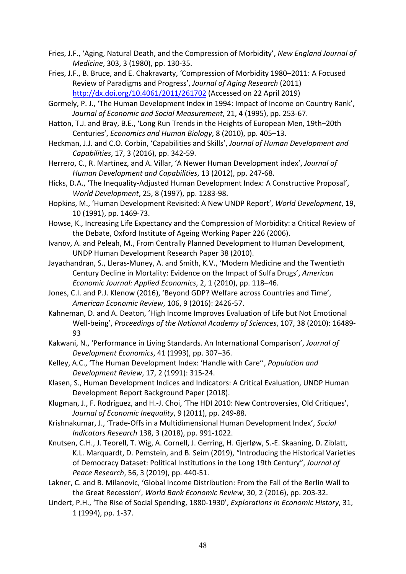- Fries, J.F., 'Aging, Natural Death, and the Compression of Morbidity', *New England Journal of Medicine*, 303, 3 (1980), pp. 130-35.
- Fries, J.F., B. Bruce, and E. Chakravarty, 'Compression of Morbidity 1980–2011: A Focused Review of Paradigms and Progress', *Journal of Aging Research* (2011) <http://dx.doi.org/10.4061/2011/261702> (Accessed on 22 April 2019)
- Gormely, P. J., 'The Human Development Index in 1994: Impact of Income on Country Rank', *Journal of Economic and Social Measurement*, 21, 4 (1995), pp. 253-67.
- Hatton, T.J. and Bray, B.E., 'Long Run Trends in the Heights of European Men, 19th–20th Centuries', *Economics and Human Biology*, 8 (2010), pp. 405–13.
- Heckman, J.J. and C.O. Corbin, 'Capabilities and Skills', *Journal of Human Development and Capabilities*, 17, 3 (2016), pp. 342-59.
- Herrero, C., R. Martínez, and A. Villar, 'A Newer Human Development index', *Journal of Human Development and Capabilities*, 13 (2012), pp. 247-68.
- Hicks, D.A., 'The Inequality-Adjusted Human Development Index: A Constructive Proposal', *World Development*, 25, 8 (1997), pp. 1283-98.
- Hopkins, M., 'Human Development Revisited: A New UNDP Report', *World Development*, 19, 10 (1991), pp. 1469-73.
- Howse, K., Increasing Life Expectancy and the Compression of Morbidity: a Critical Review of the Debate, Oxford Institute of Ageing Working Paper 226 (2006).
- Ivanov, A. and Peleah, M., From Centrally Planned Development to Human Development, UNDP Human Development Research Paper 38 (2010).
- Jayachandran, S., Lleras-Muney, A. and Smith, K.V., 'Modern Medicine and the Twentieth Century Decline in Mortality: Evidence on the Impact of Sulfa Drugs', *American Economic Journal: Applied Economics*, 2, 1 (2010), pp. 118–46.
- Jones, C.I. and P.J. Klenow (2016), 'Beyond GDP? Welfare across Countries and Time', *American Economic Review*, 106, 9 (2016): 2426-57.
- Kahneman, D. and A. Deaton, 'High Income Improves Evaluation of Life but Not Emotional Well-being', *Proceedings of the National Academy of Sciences*, 107, 38 (2010): 16489- 93
- Kakwani, N., 'Performance in Living Standards. An International Comparison', *Journal of Development Economics*, 41 (1993), pp. 307–36.
- Kelley, A.C., 'The Human Development Index: 'Handle with Care'', *Population and Development Review*, 17, 2 (1991): 315-24.
- Klasen, S., Human Development Indices and Indicators: A Critical Evaluation, UNDP Human Development Report Background Paper (2018).
- Klugman, J., F. Rodríguez, and H.-J. Choi, 'The HDI 2010: New Controversies, Old Critiques', *Journal of Economic Inequality*, 9 (2011), pp. 249-88.
- Krishnakumar, J., 'Trade-Offs in a Multidimensional Human Development Index', *Social Indicators Research* 138, 3 (2018), pp. 991-1022.
- Knutsen, C.H., J. Teorell, T. Wig, A. Cornell, J. Gerring, H. Gjerløw, S.-E. Skaaning, D. Ziblatt, K.L. Marquardt, D. Pemstein, and B. Seim (2019), "Introducing the Historical Varieties of Democracy Dataset: Political Institutions in the Long 19th Century", *Journal of Peace Research*, 56, 3 (2019), pp. 440-51.
- Lakner, C. and B. Milanovic, 'Global Income Distribution: From the Fall of the Berlin Wall to the Great Recession', *World Bank Economic Review*, 30, 2 (2016), pp. 203-32.
- Lindert, P.H., 'The Rise of Social Spending, 1880-1930', *Explorations in Economic History*, 31, 1 (1994), pp. 1-37.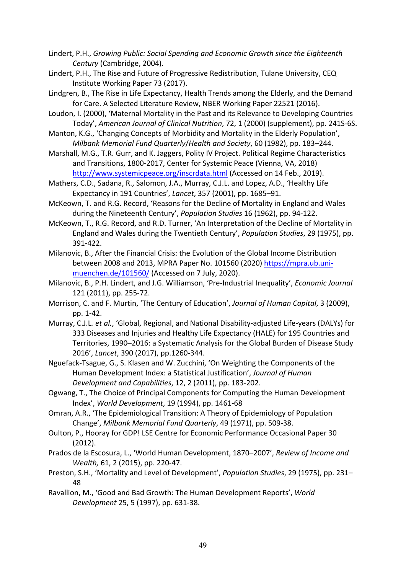Lindert, P.H., *Growing Public: Social Spending and Economic Growth since the Eighteenth Century* (Cambridge, 2004).

Lindert, P.H., The Rise and Future of Progressive Redistribution, Tulane University, CEQ Institute Working Paper 73 (2017).

Lindgren, B., The Rise in Life Expectancy, Health Trends among the Elderly, and the Demand for Care. A Selected Literature Review, NBER Working Paper 22521 (2016).

Loudon, I. (2000), 'Maternal Mortality in the Past and its Relevance to Developing Countries Today', *American Journal of Clinical Nutrition*, 72, 1 (2000) (supplement), pp. 241S-6S.

Manton, K.G., 'Changing Concepts of Morbidity and Mortality in the Elderly Population', *Milbank Memorial Fund Quarterly*/*Health and Society*, 60 (1982), pp. 183–244.

Marshall, M.G., T.R. Gurr, and K. Jaggers, Polity IV Project. Political Regime Characteristics and Transitions, 1800-2017, Center for Systemic Peace (Vienna, VA, 2018) <http://www.systemicpeace.org/inscrdata.html> (Accessed on 14 Feb., 2019).

Mathers, C.D., Sadana, R., Salomon, J.A., Murray, C.J.L. and Lopez, A.D., 'Healthy Life Expectancy in 191 Countries', *Lancet*, 357 (2001), pp. 1685–91.

McKeown, T. and R.G. Record, 'Reasons for the Decline of Mortality in England and Wales during the Nineteenth Century', *Population Studies* 16 (1962), pp. 94-122.

McKeown, T., R.G. Record, and R.D. Turner, 'An Interpretation of the Decline of Mortality in England and Wales during the Twentieth Century', *Population Studies*, 29 (1975), pp. 391-422.

Milanovic, B., After the Financial Crisis: the Evolution of the Global Income Distribution between 2008 and 2013, MPRA Paper No. 101560 (2020) [https://mpra.ub.uni](https://mpra.ub.uni-muenchen.de/101560/)[muenchen.de/101560/](https://mpra.ub.uni-muenchen.de/101560/) (Accessed on 7 July, 2020).

Milanovic, B., P.H. Lindert, and J.G. Williamson, 'Pre-Industrial Inequality', *Economic Journal* 121 (2011), pp. 255-72.

Morrison, C. and F. Murtin, 'The Century of Education', *Journal of Human Capital*, 3 (2009), pp. 1-42.

Murray, C.J.L*. et al.*, 'Global, Regional, and National Disability-adjusted Life-years (DALYs) for 333 Diseases and Injuries and Healthy Life Expectancy (HALE) for 195 Countries and Territories, 1990–2016: a Systematic Analysis for the Global Burden of Disease Study 2016', *Lancet*, 390 (2017), pp.1260-344.

Nguefack-Tsague, G., S. Klasen and W. Zucchini, 'On Weighting the Components of the Human Development Index: a Statistical Justification', *Journal of Human Development and Capabilities*, 12, 2 (2011), pp. 183-202.

Ogwang, T., The Choice of Principal Components for Computing the Human Development Index', *World Development*, 19 (1994), pp. 1461-68

Omran, A.R., 'The Epidemiological Transition: A Theory of Epidemiology of Population Change', *Milbank Memorial Fund Quarterly*, 49 (1971), pp. 509-38.

Oulton, P., Hooray for GDP! LSE Centre for Economic Performance Occasional Paper 30 (2012).

Prados de la Escosura, L., 'World Human Development, 1870–2007', *Review of Income and Wealth,* 61, 2 (2015), pp. 220-47.

Preston, S.H., 'Mortality and Level of Development', *Population Studies*, 29 (1975), pp. 231– 48

Ravallion, M., 'Good and Bad Growth: The Human Development Reports', *World Development* 25, 5 (1997), pp. 631-38.